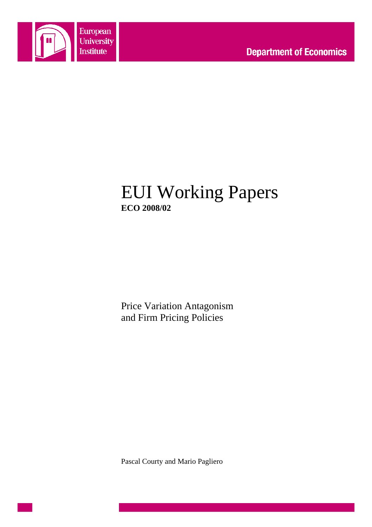

# EUI Working Papers **ECO 2008/02**

Price Variation Antagonism and Firm Pricing Policies

Pascal Courty and Mario Pagliero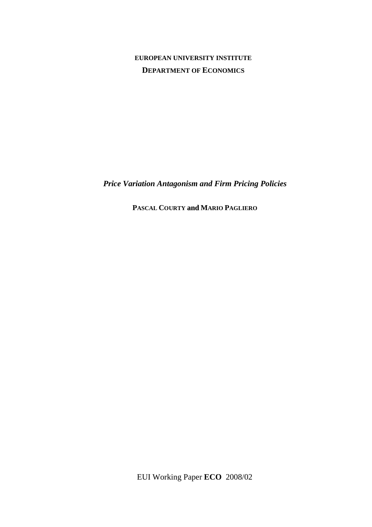# **EUROPEAN UNIVERSITY INSTITUTE DEPARTMENT OF ECONOMICS**

*Price Variation Antagonism and Firm Pricing Policies*

**PASCAL COURTY and MARIO PAGLIERO**

EUI Working Paper **ECO** 2008/02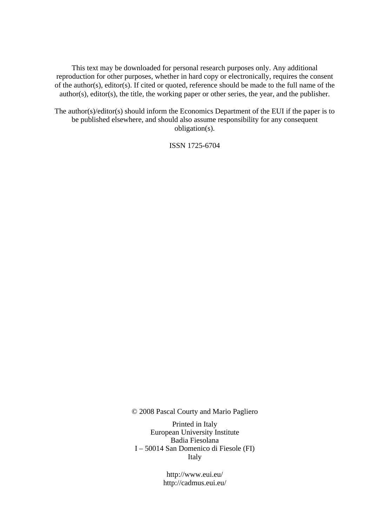This text may be downloaded for personal research purposes only. Any additional reproduction for other purposes, whether in hard copy or electronically, requires the consent of the author(s), editor(s). If cited or quoted, reference should be made to the full name of the author(s), editor(s), the title, the working paper or other series, the year, and the publisher.

The author(s)/editor(s) should inform the Economics Department of the EUI if the paper is to be published elsewhere, and should also assume responsibility for any consequent obligation(s).

ISSN 1725-6704

© 2008 Pascal Courty and Mario Pagliero

Printed in Italy European University Institute Badia Fiesolana I – 50014 San Domenico di Fiesole (FI) Italy

> http://www.eui.eu/ http://cadmus.eui.eu/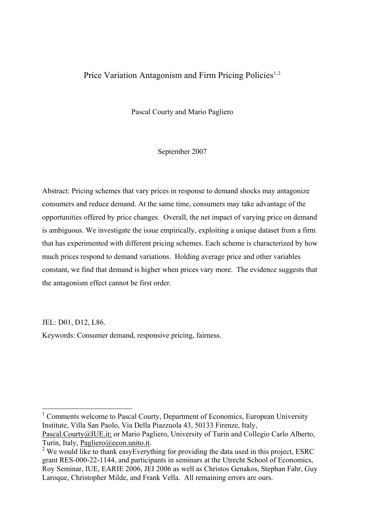## Price Variation Antagonism and Firm Pricing Policies<sup>[1](#page-4-0),[2](#page-4-1)</sup>

Pascal Courty and Mario Pagliero

September 2007

Abstract: Pricing schemes that vary prices in response to demand shocks may antagonize consumers and reduce demand. At the same time, consumers may take advantage of the opportunities offered by price changes. Overall, the net impact of varying price on demand is ambiguous. We investigate the issue empirically, exploiting a unique dataset from a firm that has experimented with different pricing schemes. Each scheme is characterized by how much prices respond to demand variations. Holding average price and other variables constant, we find that demand is higher when prices vary more. The evidence suggests that the antagonism effect cannot be first order.

JEL: D01, D12, L86.

Keywords: Consumer demand, responsive pricing, fairness.

<span id="page-4-0"></span><sup>1</sup> Comments welcome to Pascal Courty, Department of Economics, European University Institute, Villa San Paolo, Via Della Piazzuola 43, 50133 Firenze, Italy, Pascal.Courty@IUE.it; or Mario Pagliero, University of Turin and Collegio Carlo Alberto, Turin, Italy, Pagliero@econ.unito.it.

<span id="page-4-1"></span> $<sup>2</sup>$  We would like to thank easyEverything for providing the data used in this project, ESRC</sup> grant RES-000-22-1144, and participants in seminars at the Utrecht School of Economics, Roy Seminar, IUE, EARIE 2006, JEI 2006 as well as Christos Genakos, Stephan Fahr, Guy Laroque, Christopher Milde, and Frank Vella. All remaining errors are ours.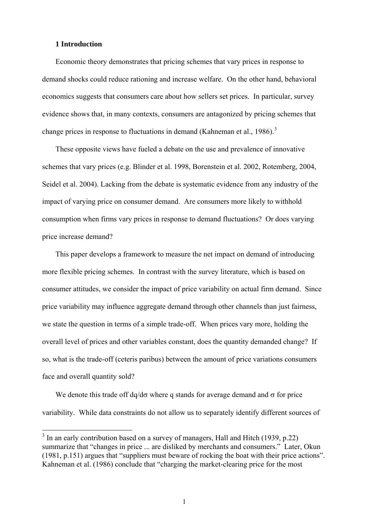### **1 Introduction**

 $\overline{\phantom{a}}$ 

Economic theory demonstrates that pricing schemes that vary prices in response to demand shocks could reduce rationing and increase welfare. On the other hand, behavioral economics suggests that consumers care about how sellers set prices. In particular, survey evidence shows that, in many contexts, consumers are antagonized by pricing schemes that change prices in response to fluctuations in demand (Kahneman et al., 1986).<sup>[3](#page-5-0)</sup>

These opposite views have fueled a debate on the use and prevalence of innovative schemes that vary prices (e.g. Blinder et al. 1998, Borenstein et al. 2002, Rotemberg, 2004, Seidel et al. 2004). Lacking from the debate is systematic evidence from any industry of the impact of varying price on consumer demand. Are consumers more likely to withhold consumption when firms vary prices in response to demand fluctuations? Or does varying price increase demand?

This paper develops a framework to measure the net impact on demand of introducing more flexible pricing schemes. In contrast with the survey literature, which is based on consumer attitudes, we consider the impact of price variability on actual firm demand. Since price variability may influence aggregate demand through other channels than just fairness, we state the question in terms of a simple trade-off. When prices vary more, holding the overall level of prices and other variables constant, does the quantity demanded change? If so, what is the trade-off (ceteris paribus) between the amount of price variations consumers face and overall quantity sold?

We denote this trade off dq/d $\sigma$  where q stands for average demand and  $\sigma$  for price variability. While data constraints do not allow us to separately identify different sources of

<span id="page-5-0"></span> $3$  In an early contribution based on a survey of managers, Hall and Hitch (1939, p.22) summarize that "changes in price ... are disliked by merchants and consumers." Later, Okun (1981, p.151) argues that "suppliers must beware of rocking the boat with their price actions". Kahneman et al. (1986) conclude that "charging the market-clearing price for the most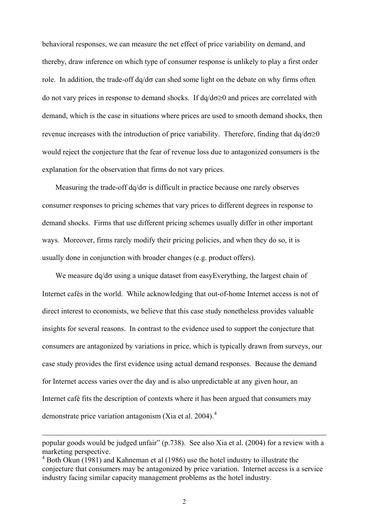behavioral responses, we can measure the net effect of price variability on demand, and thereby, draw inference on which type of consumer response is unlikely to play a first order role. In addition, the trade-off  $dq/d\sigma$  can shed some light on the debate on why firms often do not vary prices in response to demand shocks. If  $dq/d\sigma \ge 0$  and prices are correlated with demand, which is the case in situations where prices are used to smooth demand shocks, then revenue increases with the introduction of price variability. Therefore, finding that  $dq/d\sigma \ge 0$ would reject the conjecture that the fear of revenue loss due to antagonized consumers is the explanation for the observation that firms do not vary prices.

Measuring the trade-off  $dq/d\sigma$  is difficult in practice because one rarely observes consumer responses to pricing schemes that vary prices to different degrees in response to demand shocks. Firms that use different pricing schemes usually differ in other important ways. Moreover, firms rarely modify their pricing policies, and when they do so, it is usually done in conjunction with broader changes (e.g. product offers).

We measure  $dq/d\sigma$  using a unique dataset from easyEverything, the largest chain of Internet cafés in the world. While acknowledging that out-of-home Internet access is not of direct interest to economists, we believe that this case study nonetheless provides valuable insights for several reasons. In contrast to the evidence used to support the conjecture that consumers are antagonized by variations in price, which is typically drawn from surveys, our case study provides the first evidence using actual demand responses. Because the demand for Internet access varies over the day and is also unpredictable at any given hour, an Internet café fits the description of contexts where it has been argued that consumers may demonstrate price variation antagonism (Xia et al. 200[4](#page-6-0)).<sup>4</sup>

popular goods would be judged unfair" (p.738). See also Xia et al. (2004) for a review with a marketing perspective.

<span id="page-6-0"></span><sup>&</sup>lt;sup>4</sup> Both Okun (1981) and Kahneman et al (1986) use the hotel industry to illustrate the conjecture that consumers may be antagonized by price variation. Internet access is a service industry facing similar capacity management problems as the hotel industry.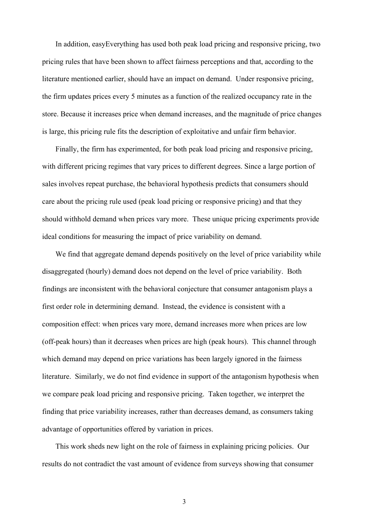In addition, easyEverything has used both peak load pricing and responsive pricing, two pricing rules that have been shown to affect fairness perceptions and that, according to the literature mentioned earlier, should have an impact on demand. Under responsive pricing, the firm updates prices every 5 minutes as a function of the realized occupancy rate in the store. Because it increases price when demand increases, and the magnitude of price changes is large, this pricing rule fits the description of exploitative and unfair firm behavior.

Finally, the firm has experimented, for both peak load pricing and responsive pricing, with different pricing regimes that vary prices to different degrees. Since a large portion of sales involves repeat purchase, the behavioral hypothesis predicts that consumers should care about the pricing rule used (peak load pricing or responsive pricing) and that they should withhold demand when prices vary more. These unique pricing experiments provide ideal conditions for measuring the impact of price variability on demand.

We find that aggregate demand depends positively on the level of price variability while disaggregated (hourly) demand does not depend on the level of price variability. Both findings are inconsistent with the behavioral conjecture that consumer antagonism plays a first order role in determining demand. Instead, the evidence is consistent with a composition effect: when prices vary more, demand increases more when prices are low (off-peak hours) than it decreases when prices are high (peak hours). This channel through which demand may depend on price variations has been largely ignored in the fairness literature. Similarly, we do not find evidence in support of the antagonism hypothesis when we compare peak load pricing and responsive pricing. Taken together, we interpret the finding that price variability increases, rather than decreases demand, as consumers taking advantage of opportunities offered by variation in prices.

This work sheds new light on the role of fairness in explaining pricing policies. Our results do not contradict the vast amount of evidence from surveys showing that consumer

3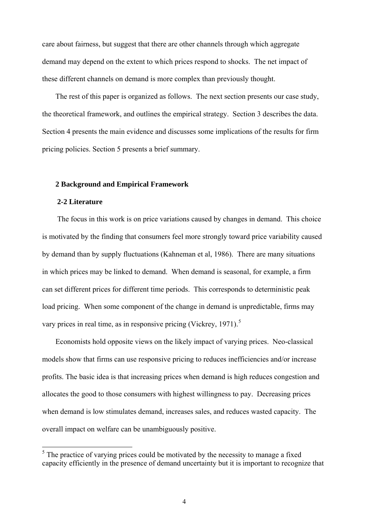care about fairness, but suggest that there are other channels through which aggregate demand may depend on the extent to which prices respond to shocks. The net impact of these different channels on demand is more complex than previously thought.

The rest of this paper is organized as follows. The next section presents our case study, the theoretical framework, and outlines the empirical strategy. Section 3 describes the data. Section 4 presents the main evidence and discusses some implications of the results for firm pricing policies. Section 5 presents a brief summary.

#### **2 Background and Empirical Framework**

### **2-2 Literature**

The focus in this work is on price variations caused by changes in demand. This choice is motivated by the finding that consumers feel more strongly toward price variability caused by demand than by supply fluctuations (Kahneman et al, 1986). There are many situations in which prices may be linked to demand. When demand is seasonal, for example, a firm can set different prices for different time periods. This corresponds to deterministic peak load pricing. When some component of the change in demand is unpredictable, firms may vary prices in real time, as in responsive pricing (Vickrey, 1971).<sup>[5](#page-8-0)</sup>

Economists hold opposite views on the likely impact of varying prices. Neo-classical models show that firms can use responsive pricing to reduces inefficiencies and/or increase profits. The basic idea is that increasing prices when demand is high reduces congestion and allocates the good to those consumers with highest willingness to pay. Decreasing prices when demand is low stimulates demand, increases sales, and reduces wasted capacity. The overall impact on welfare can be unambiguously positive.

<span id="page-8-0"></span><sup>&</sup>lt;sup>5</sup> The practice of varying prices could be motivated by the necessity to manage a fixed capacity efficiently in the presence of demand uncertainty but it is important to recognize that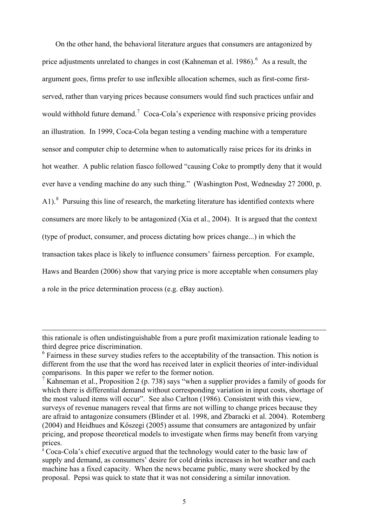On the other hand, the behavioral literature argues that consumers are antagonized by price adjustments unrelated to changes in cost (Kahneman et al. 198[6](#page-9-0)).  $6\text{ As a result, the}$ argument goes, firms prefer to use inflexible allocation schemes, such as first-come firstserved, rather than varying prices because consumers would find such practices unfair and would withhold future demand.<sup>[7](#page-9-1)</sup> Coca-Cola's experience with responsive pricing provides an illustration. In 1999, Coca-Cola began testing a vending machine with a temperature sensor and computer chip to determine when to automatically raise prices for its drinks in hot weather. A public relation fiasco followed "causing Coke to promptly deny that it would ever have a vending machine do any such thing." (Washington Post, Wednesday 27 2000, p. A1). $8$  Pursuing this line of research, the marketing literature has identified contexts where consumers are more likely to be antagonized (Xia et al., 2004). It is argued that the context (type of product, consumer, and process dictating how prices change...) in which the transaction takes place is likely to influence consumers' fairness perception. For example, Haws and Bearden (2006) show that varying price is more acceptable when consumers play a role in the price determination process (e.g. eBay auction).

this rationale is often undistinguishable from a pure profit maximization rationale leading to third degree price discrimination.

<span id="page-9-0"></span><sup>&</sup>lt;sup>6</sup> Fairness in these survey studies refers to the acceptability of the transaction. This notion is different from the use that the word has received later in explicit theories of inter-individual comparisons. In this paper we refer to the former notion.

<span id="page-9-1"></span><sup>&</sup>lt;sup>7</sup> Kahneman et al., Proposition 2 (p. 738) says "when a supplier provides a family of goods for which there is differential demand without corresponding variation in input costs, shortage of the most valued items will occur". See also Carlton (1986). Consistent with this view, surveys of revenue managers reveal that firms are not willing to change prices because they are afraid to antagonize consumers (Blinder et al. 1998, and Zbaracki et al. 2004). Rotemberg (2004) and Heidhues and Kőszegi (2005) assume that consumers are antagonized by unfair pricing, and propose theoretical models to investigate when firms may benefit from varying prices.

<span id="page-9-2"></span><sup>&</sup>lt;sup>8</sup> Coca-Cola's chief executive argued that the technology would cater to the basic law of supply and demand, as consumers' desire for cold drinks increases in hot weather and each machine has a fixed capacity. When the news became public, many were shocked by the proposal. Pepsi was quick to state that it was not considering a similar innovation.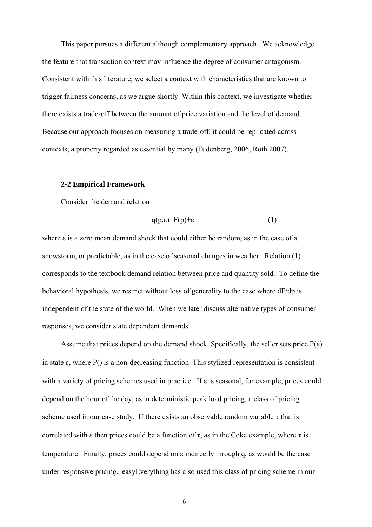This paper pursues a different although complementary approach. We acknowledge the feature that transaction context may influence the degree of consumer antagonism. Consistent with this literature, we select a context with characteristics that are known to trigger fairness concerns, as we argue shortly. Within this context, we investigate whether there exists a trade-off between the amount of price variation and the level of demand. Because our approach focuses on measuring a trade-off, it could be replicated across contexts, a property regarded as essential by many (Fudenberg, 2006, Roth 2007).

### **2-2 Empirical Framework**

Consider the demand relation

$$
q(p,\varepsilon) = F(p) + \varepsilon \tag{1}
$$

where ε is a zero mean demand shock that could either be random, as in the case of a snowstorm, or predictable, as in the case of seasonal changes in weather. Relation (1) corresponds to the textbook demand relation between price and quantity sold. To define the behavioral hypothesis, we restrict without loss of generality to the case where dF/dp is independent of the state of the world. When we later discuss alternative types of consumer responses, we consider state dependent demands.

Assume that prices depend on the demand shock. Specifically, the seller sets price  $P(\varepsilon)$ in state ε, where P() is a non-decreasing function. This stylized representation is consistent with a variety of pricing schemes used in practice. If  $\varepsilon$  is seasonal, for example, prices could depend on the hour of the day, as in deterministic peak load pricing, a class of pricing scheme used in our case study. If there exists an observable random variable  $\tau$  that is correlated with  $\varepsilon$  then prices could be a function of  $\tau$ , as in the Coke example, where  $\tau$  is temperature. Finally, prices could depend on ε indirectly through q, as would be the case under responsive pricing. easyEverything has also used this class of pricing scheme in our

6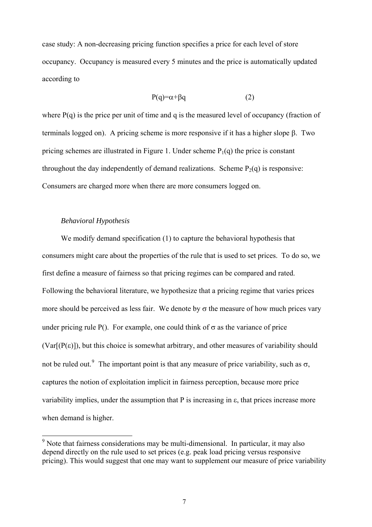case study: A non-decreasing pricing function specifies a price for each level of store occupancy. Occupancy is measured every 5 minutes and the price is automatically updated according to

$$
P(q) = \alpha + \beta q \tag{2}
$$

where  $P(q)$  is the price per unit of time and q is the measured level of occupancy (fraction of terminals logged on). A pricing scheme is more responsive if it has a higher slope β. Two pricing schemes are illustrated in Figure 1. Under scheme  $P_1(q)$  the price is constant throughout the day independently of demand realizations. Scheme  $P_2(q)$  is responsive: Consumers are charged more when there are more consumers logged on.

### *Behavioral Hypothesis*

l

We modify demand specification (1) to capture the behavioral hypothesis that consumers might care about the properties of the rule that is used to set prices. To do so, we first define a measure of fairness so that pricing regimes can be compared and rated. Following the behavioral literature, we hypothesize that a pricing regime that varies prices more should be perceived as less fair. We denote by  $\sigma$  the measure of how much prices vary under pricing rule P(). For example, one could think of  $\sigma$  as the variance of price  $(Var[(P(\varepsilon))])$ , but this choice is somewhat arbitrary, and other measures of variability should not be ruled out.<sup>[9](#page-11-0)</sup> The important point is that any measure of price variability, such as  $\sigma$ , captures the notion of exploitation implicit in fairness perception, because more price variability implies, under the assumption that P is increasing in ε, that prices increase more when demand is higher.

<span id="page-11-0"></span><sup>&</sup>lt;sup>9</sup> Note that fairness considerations may be multi-dimensional. In particular, it may also depend directly on the rule used to set prices (e.g. peak load pricing versus responsive pricing). This would suggest that one may want to supplement our measure of price variability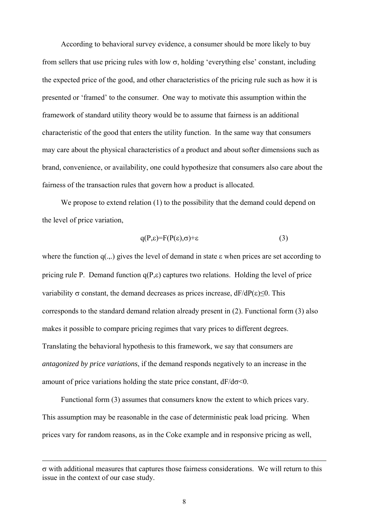According to behavioral survey evidence, a consumer should be more likely to buy from sellers that use pricing rules with low  $\sigma$ , holding 'everything else' constant, including the expected price of the good, and other characteristics of the pricing rule such as how it is presented or 'framed' to the consumer. One way to motivate this assumption within the framework of standard utility theory would be to assume that fairness is an additional characteristic of the good that enters the utility function. In the same way that consumers may care about the physical characteristics of a product and about softer dimensions such as brand, convenience, or availability, one could hypothesize that consumers also care about the fairness of the transaction rules that govern how a product is allocated.

We propose to extend relation (1) to the possibility that the demand could depend on the level of price variation,

$$
q(P,\varepsilon)=F(P(\varepsilon),\sigma)+\varepsilon\tag{3}
$$

where the function  $q(.,.)$  gives the level of demand in state  $\varepsilon$  when prices are set according to pricing rule P. Demand function  $q(P, \varepsilon)$  captures two relations. Holding the level of price variability  $\sigma$  constant, the demand decreases as prices increase,  $dF/dP(\epsilon) \le 0$ . This corresponds to the standard demand relation already present in (2). Functional form (3) also makes it possible to compare pricing regimes that vary prices to different degrees. Translating the behavioral hypothesis to this framework, we say that consumers are *antagonized by price variations*, if the demand responds negatively to an increase in the amount of price variations holding the state price constant,  $dF/d\sigma \leq 0$ .

Functional form (3) assumes that consumers know the extent to which prices vary. This assumption may be reasonable in the case of deterministic peak load pricing. When prices vary for random reasons, as in the Coke example and in responsive pricing as well,

 $\overline{\phantom{a}}$ 

σ with additional measures that captures those fairness considerations. We will return to this issue in the context of our case study.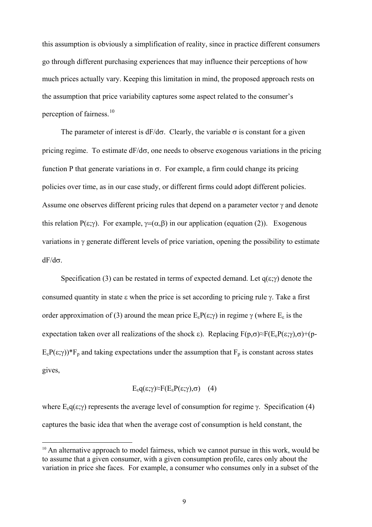this assumption is obviously a simplification of reality, since in practice different consumers go through different purchasing experiences that may influence their perceptions of how much prices actually vary. Keeping this limitation in mind, the proposed approach rests on the assumption that price variability captures some aspect related to the consumer's perception of fairness.<sup>[10](#page-13-0)</sup>

The parameter of interest is  $dF/d\sigma$ . Clearly, the variable  $\sigma$  is constant for a given pricing regime. To estimate  $dF/d\sigma$ , one needs to observe exogenous variations in the pricing function P that generate variations in  $\sigma$ . For example, a firm could change its pricing policies over time, as in our case study, or different firms could adopt different policies. Assume one observes different pricing rules that depend on a parameter vector  $\gamma$  and denote this relation P(ε;γ). For example,  $\gamma = (\alpha, \beta)$  in our application (equation (2)). Exogenous variations in  $\gamma$  generate different levels of price variation, opening the possibility to estimate  $dF/d\sigma$ .

Specification (3) can be restated in terms of expected demand. Let  $q(\epsilon; \gamma)$  denote the consumed quantity in state ε when the price is set according to pricing rule γ. Take a first order approximation of (3) around the mean price  $E_eP(\epsilon;\gamma)$  in regime  $\gamma$  (where  $E_{\epsilon}$  is the expectation taken over all realizations of the shock  $\varepsilon$ ). Replacing  $F(p,\sigma) \approx F(E_e P(\varepsilon;\gamma),\sigma) + (p-\sigma)P(\varepsilon;\gamma)P(\varepsilon;\gamma)$  $E_{\epsilon}P(\epsilon;\gamma)$ <sup>\*</sup>F<sub>p</sub> and taking expectations under the assumption that F<sub>p</sub> is constant across states gives,

$$
E_{\varepsilon}q(\varepsilon;\gamma)\approx F(E_{\varepsilon}P(\varepsilon;\gamma),\sigma) \quad (4)
$$

where  $E_{\varepsilon}q(\varepsilon;\gamma)$  represents the average level of consumption for regime γ. Specification (4) captures the basic idea that when the average cost of consumption is held constant, the

<span id="page-13-0"></span> $10$  An alternative approach to model fairness, which we cannot pursue in this work, would be to assume that a given consumer, with a given consumption profile, cares only about the variation in price she faces. For example, a consumer who consumes only in a subset of the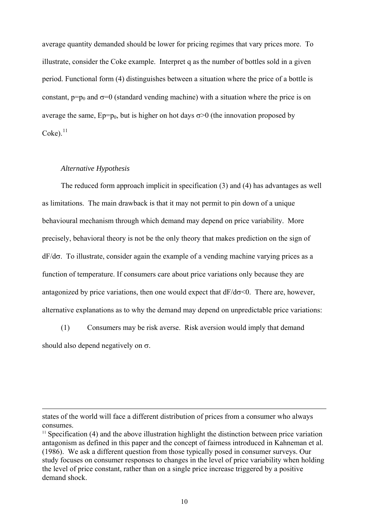average quantity demanded should be lower for pricing regimes that vary prices more. To illustrate, consider the Coke example. Interpret q as the number of bottles sold in a given period. Functional form (4) distinguishes between a situation where the price of a bottle is constant,  $p=p_0$  and  $\sigma=0$  (standard vending machine) with a situation where the price is on average the same,  $Ep=p_0$ , but is higher on hot days  $\sigma > 0$  (the innovation proposed by  $Coke$ ). $^{11}$  $^{11}$  $^{11}$ 

### *Alternative Hypothesis*

l

The reduced form approach implicit in specification (3) and (4) has advantages as well as limitations. The main drawback is that it may not permit to pin down of a unique behavioural mechanism through which demand may depend on price variability. More precisely, behavioral theory is not be the only theory that makes prediction on the sign of dF/dσ. To illustrate, consider again the example of a vending machine varying prices as a function of temperature. If consumers care about price variations only because they are antagonized by price variations, then one would expect that  $dF/d\sigma \le 0$ . There are, however, alternative explanations as to why the demand may depend on unpredictable price variations:

(1) Consumers may be risk averse. Risk aversion would imply that demand should also depend negatively on σ.

states of the world will face a different distribution of prices from a consumer who always consumes.

<span id="page-14-0"></span> $11$  Specification (4) and the above illustration highlight the distinction between price variation antagonism as defined in this paper and the concept of fairness introduced in Kahneman et al. (1986). We ask a different question from those typically posed in consumer surveys. Our study focuses on consumer responses to changes in the level of price variability when holding the level of price constant, rather than on a single price increase triggered by a positive demand shock.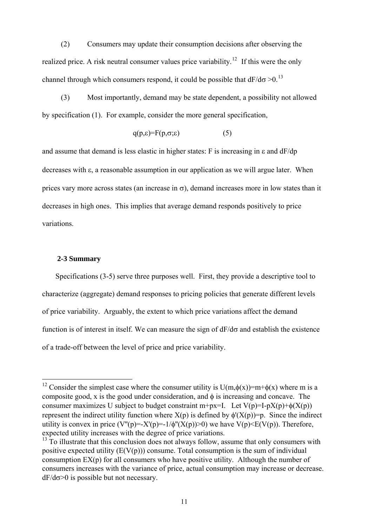(2) Consumers may update their consumption decisions after observing the realized price. A risk neutral consumer values price variability.<sup>[12](#page-15-0)</sup> If this were the only channel through which consumers respond, it could be possible that  $dF/d\sigma > 0$ .<sup>[13](#page-15-1)</sup>

(3) Most importantly, demand may be state dependent, a possibility not allowed by specification (1). For example, consider the more general specification,

$$
q(p,\varepsilon) = F(p,\sigma;\varepsilon) \tag{5}
$$

and assume that demand is less elastic in higher states: F is increasing in ε and dF/dp decreases with ε, a reasonable assumption in our application as we will argue later. When prices vary more across states (an increase in  $\sigma$ ), demand increases more in low states than it decreases in high ones. This implies that average demand responds positively to price variations.

### **2-3 Summary**

l

Specifications (3-5) serve three purposes well. First, they provide a descriptive tool to characterize (aggregate) demand responses to pricing policies that generate different levels of price variability. Arguably, the extent to which price variations affect the demand function is of interest in itself. We can measure the sign of  $dF/d\sigma$  and establish the existence of a trade-off between the level of price and price variability.

<span id="page-15-0"></span><sup>&</sup>lt;sup>12</sup> Consider the simplest case where the consumer utility is U(m, $\phi(x)$ )=m+ $\phi(x)$  where m is a composite good, x is the good under consideration, and  $\phi$  is increasing and concave. The consumer maximizes U subject to budget constraint m+px=I. Let  $V(p)=I-pX(p)+\phi(X(p))$ represent the indirect utility function where  $X(p)$  is defined by  $\phi'(X(p))=p$ . Since the indirect utility is convex in price  $(V''(p)=X'(p)=1/\phi''(X(p))>0)$  we have  $V(p)\leq E(V(p))$ . Therefore, expected utility increases with the degree of price variations.

<span id="page-15-1"></span> $13$  To illustrate that this conclusion does not always follow, assume that only consumers with positive expected utility  $(E(V(p)))$  consume. Total consumption is the sum of individual consumption EX(p) for all consumers who have positive utility. Although the number of consumers increases with the variance of price, actual consumption may increase or decrease.  $dF/d\sigma$  is possible but not necessary.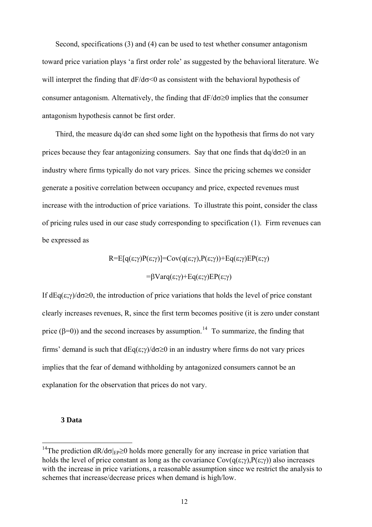Second, specifications (3) and (4) can be used to test whether consumer antagonism toward price variation plays 'a first order role' as suggested by the behavioral literature. We will interpret the finding that  $dF/d\sigma \leq 0$  as consistent with the behavioral hypothesis of consumer antagonism. Alternatively, the finding that  $dF/d\sigma \ge 0$  implies that the consumer antagonism hypothesis cannot be first order.

Third, the measure  $dq/d\sigma$  can shed some light on the hypothesis that firms do not vary prices because they fear antagonizing consumers. Say that one finds that  $dq/d\sigma \ge 0$  in an industry where firms typically do not vary prices. Since the pricing schemes we consider generate a positive correlation between occupancy and price, expected revenues must increase with the introduction of price variations. To illustrate this point, consider the class of pricing rules used in our case study corresponding to specification (1). Firm revenues can be expressed as

$$
R = E[q(\varepsilon; \gamma)P(\varepsilon; \gamma)] = Cov(q(\varepsilon; \gamma), P(\varepsilon; \gamma)) + Eq(\varepsilon; \gamma)EP(\varepsilon; \gamma)
$$

$$
= \beta Var(q(\varepsilon; \gamma) + Eq(\varepsilon; \gamma)EP(\varepsilon; \gamma))
$$

If  $dEq(\epsilon;\gamma)/d\sigma\geq 0$ , the introduction of price variations that holds the level of price constant clearly increases revenues, R, since the first term becomes positive (it is zero under constant price ( $\beta$ =0)) and the second increases by assumption.<sup>[14](#page-16-0)</sup> To summarize, the finding that firms' demand is such that  $dEq(\epsilon; \gamma)/d\sigma \ge 0$  in an industry where firms do not vary prices implies that the fear of demand withholding by antagonized consumers cannot be an explanation for the observation that prices do not vary.

#### **3 Data**

<span id="page-16-0"></span><sup>&</sup>lt;sup>14</sup>The prediction  $dR/d\sigma_{\text{FP}} \ge 0$  holds more generally for any increase in price variation that holds the level of price constant as long as the covariance  $Cov(q(\epsilon; \gamma), P(\epsilon; \gamma))$  also increases with the increase in price variations, a reasonable assumption since we restrict the analysis to schemes that increase/decrease prices when demand is high/low.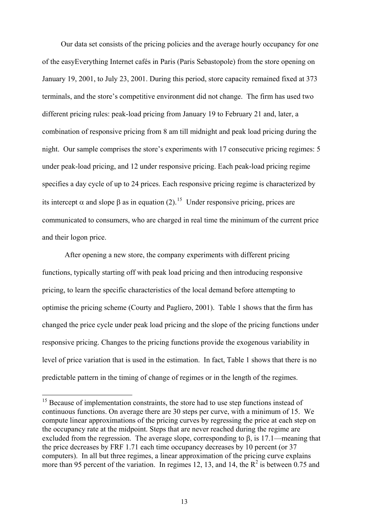Our data set consists of the pricing policies and the average hourly occupancy for one of the easyEverything Internet cafés in Paris (Paris Sebastopole) from the store opening on January 19, 2001, to July 23, 2001. During this period, store capacity remained fixed at 373 terminals, and the store's competitive environment did not change. The firm has used two different pricing rules: peak-load pricing from January 19 to February 21 and, later, a combination of responsive pricing from 8 am till midnight and peak load pricing during the night. Our sample comprises the store's experiments with 17 consecutive pricing regimes: 5 under peak-load pricing, and 12 under responsive pricing. Each peak-load pricing regime specifies a day cycle of up to 24 prices. Each responsive pricing regime is characterized by its intercept  $\alpha$  and slope  $\beta$  as in equation (2).<sup>[15](#page-17-0)</sup> Under responsive pricing, prices are communicated to consumers, who are charged in real time the minimum of the current price and their logon price.

After opening a new store, the company experiments with different pricing functions, typically starting off with peak load pricing and then introducing responsive pricing, to learn the specific characteristics of the local demand before attempting to optimise the pricing scheme (Courty and Pagliero, 2001). Table 1 shows that the firm has changed the price cycle under peak load pricing and the slope of the pricing functions under responsive pricing. Changes to the pricing functions provide the exogenous variability in level of price variation that is used in the estimation. In fact, Table 1 shows that there is no predictable pattern in the timing of change of regimes or in the length of the regimes.

<span id="page-17-0"></span> $15$  Because of implementation constraints, the store had to use step functions instead of continuous functions. On average there are 30 steps per curve, with a minimum of 15. We compute linear approximations of the pricing curves by regressing the price at each step on the occupancy rate at the midpoint. Steps that are never reached during the regime are excluded from the regression. The average slope, corresponding to β, is 17.1—meaning that the price decreases by FRF 1.71 each time occupancy decreases by 10 percent (or 37 computers). In all but three regimes, a linear approximation of the pricing curve explains more than 95 percent of the variation. In regimes 12, 13, and 14, the  $R^2$  is between 0.75 and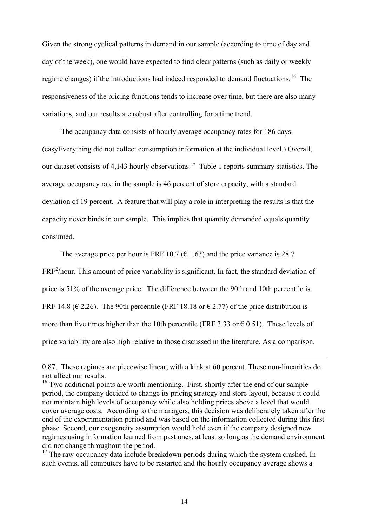Given the strong cyclical patterns in demand in our sample (according to time of day and day of the week), one would have expected to find clear patterns (such as daily or weekly regime changes) if the introductions had indeed responded to demand fluctuations.<sup>[16](#page-18-0)</sup> The responsiveness of the pricing functions tends to increase over time, but there are also many variations, and our results are robust after controlling for a time trend.

The occupancy data consists of hourly average occupancy rates for 186 days. (easyEverything did not collect consumption information at the individual level.) Overall, our dataset consists of 4,143 hourly observations.<sup>[17](#page-18-1)</sup> Table 1 reports summary statistics. The average occupancy rate in the sample is 46 percent of store capacity, with a standard deviation of 19 percent. A feature that will play a role in interpreting the results is that the capacity never binds in our sample. This implies that quantity demanded equals quantity consumed.

The average price per hour is FRF 10.7 ( $\epsilon$  1.63) and the price variance is 28.7  $FRF<sup>2</sup>/hour. This amount of price variability is significant. In fact, the standard deviation of  $FRF^2/hour.$$ price is 51% of the average price. The difference between the 90th and 10th percentile is FRF 14.8 ( $\in$  2.26). The 90th percentile (FRF 18.18 or  $\in$  2.77) of the price distribution is more than five times higher than the 10th percentile (FRF 3.33 or  $\epsilon$  0.51). These levels of price variability are also high relative to those discussed in the literature. As a comparison,

<sup>0.87.</sup> These regimes are piecewise linear, with a kink at 60 percent. These non-linearities do not affect our results.

<span id="page-18-0"></span><sup>&</sup>lt;sup>16</sup> Two additional points are worth mentioning. First, shortly after the end of our sample period, the company decided to change its pricing strategy and store layout, because it could not maintain high levels of occupancy while also holding prices above a level that would cover average costs. According to the managers, this decision was deliberately taken after the end of the experimentation period and was based on the information collected during this first phase. Second, our exogeneity assumption would hold even if the company designed new regimes using information learned from past ones, at least so long as the demand environment did not change throughout the period.

<span id="page-18-1"></span><sup>&</sup>lt;sup>17</sup> The raw occupancy data include breakdown periods during which the system crashed. In such events, all computers have to be restarted and the hourly occupancy average shows a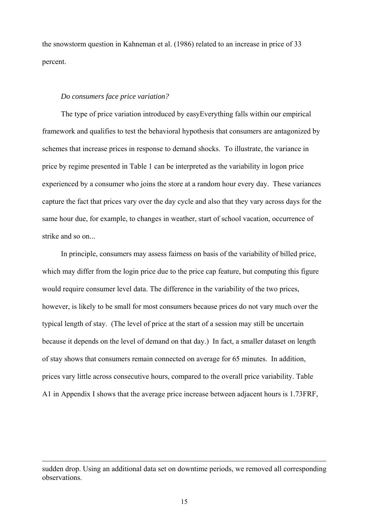the snowstorm question in Kahneman et al. (1986) related to an increase in price of 33 percent.

#### *Do consumers face price variation?*

The type of price variation introduced by easyEverything falls within our empirical framework and qualifies to test the behavioral hypothesis that consumers are antagonized by schemes that increase prices in response to demand shocks. To illustrate, the variance in price by regime presented in Table 1 can be interpreted as the variability in logon price experienced by a consumer who joins the store at a random hour every day. These variances capture the fact that prices vary over the day cycle and also that they vary across days for the same hour due, for example, to changes in weather, start of school vacation, occurrence of strike and so on...

In principle, consumers may assess fairness on basis of the variability of billed price, which may differ from the login price due to the price cap feature, but computing this figure would require consumer level data. The difference in the variability of the two prices, however, is likely to be small for most consumers because prices do not vary much over the typical length of stay. (The level of price at the start of a session may still be uncertain because it depends on the level of demand on that day.) In fact, a smaller dataset on length of stay shows that consumers remain connected on average for 65 minutes. In addition, prices vary little across consecutive hours, compared to the overall price variability. Table A1 in Appendix I shows that the average price increase between adjacent hours is 1.73FRF,

sudden drop. Using an additional data set on downtime periods, we removed all corresponding observations.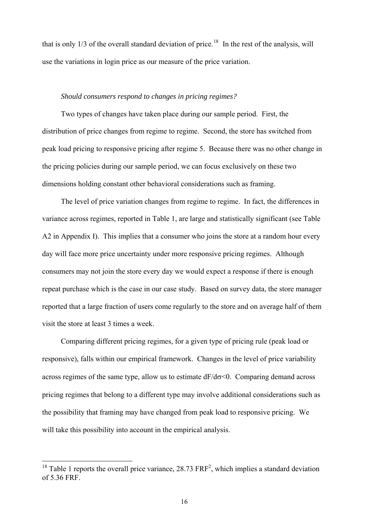that is only  $1/3$  of the overall standard deviation of price.<sup>[18](#page-20-0)</sup> In the rest of the analysis, will use the variations in login price as our measure of the price variation.

#### *Should consumers respond to changes in pricing regimes?*

Two types of changes have taken place during our sample period. First, the distribution of price changes from regime to regime. Second, the store has switched from peak load pricing to responsive pricing after regime 5. Because there was no other change in the pricing policies during our sample period, we can focus exclusively on these two dimensions holding constant other behavioral considerations such as framing.

The level of price variation changes from regime to regime. In fact, the differences in variance across regimes, reported in Table 1, are large and statistically significant (see Table A2 in Appendix I). This implies that a consumer who joins the store at a random hour every day will face more price uncertainty under more responsive pricing regimes. Although consumers may not join the store every day we would expect a response if there is enough repeat purchase which is the case in our case study. Based on survey data, the store manager reported that a large fraction of users come regularly to the store and on average half of them visit the store at least 3 times a week.

Comparing different pricing regimes, for a given type of pricing rule (peak load or responsive), falls within our empirical framework. Changes in the level of price variability across regimes of the same type, allow us to estimate  $dF/d\sigma \leq 0$ . Comparing demand across pricing regimes that belong to a different type may involve additional considerations such as the possibility that framing may have changed from peak load to responsive pricing. We will take this possibility into account in the empirical analysis.

<span id="page-20-0"></span><sup>&</sup>lt;sup>18</sup> Table 1 reports the overall price variance, 28.73  $FRF<sup>2</sup>$ , which implies a standard deviation of 5.36 FRF.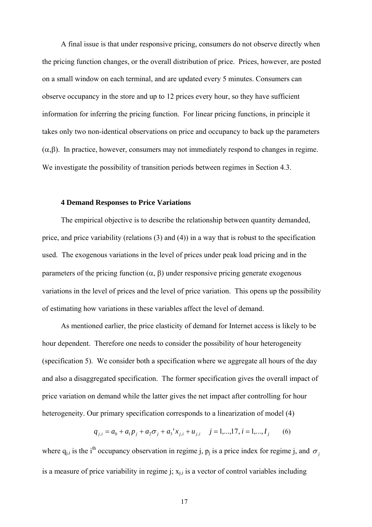A final issue is that under responsive pricing, consumers do not observe directly when the pricing function changes, or the overall distribution of price. Prices, however, are posted on a small window on each terminal, and are updated every 5 minutes. Consumers can observe occupancy in the store and up to 12 prices every hour, so they have sufficient information for inferring the pricing function. For linear pricing functions, in principle it takes only two non-identical observations on price and occupancy to back up the parameters  $(\alpha, \beta)$ . In practice, however, consumers may not immediately respond to changes in regime. We investigate the possibility of transition periods between regimes in Section 4.3.

### **4 Demand Responses to Price Variations**

The empirical objective is to describe the relationship between quantity demanded, price, and price variability (relations (3) and (4)) in a way that is robust to the specification used. The exogenous variations in the level of prices under peak load pricing and in the parameters of the pricing function  $(\alpha, \beta)$  under responsive pricing generate exogenous variations in the level of prices and the level of price variation. This opens up the possibility of estimating how variations in these variables affect the level of demand.

As mentioned earlier, the price elasticity of demand for Internet access is likely to be hour dependent. Therefore one needs to consider the possibility of hour heterogeneity (specification 5). We consider both a specification where we aggregate all hours of the day and also a disaggregated specification. The former specification gives the overall impact of price variation on demand while the latter gives the net impact after controlling for hour heterogeneity. Our primary specification corresponds to a linearization of model (4)

$$
q_{j,i} = a_0 + a_1 p_j + a_2 \sigma_j + a_3' x_{j,i} + u_{j,i} \quad j = 1,...,17, i = 1,...,I_j \quad (6)
$$

where  $q_{i,j}$  is the i<sup>th</sup> occupancy observation in regime j, p<sub>j</sub> is a price index for regime j, and  $\sigma_j$ is a measure of price variability in regime j;  $x_{i,i}$  is a vector of control variables including

17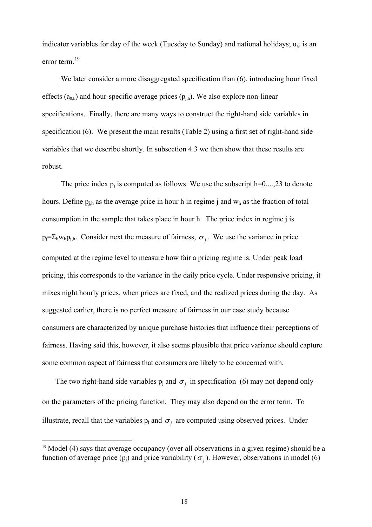indicator variables for day of the week (Tuesday to Sunday) and national holidays;  $u_{i,i}$  is an error term<sup>[19](#page-22-0)</sup>

We later consider a more disaggregated specification than  $(6)$ , introducing hour fixed effects  $(a_{0h})$  and hour-specific average prices  $(p_{ih})$ . We also explore non-linear specifications. Finally, there are many ways to construct the right-hand side variables in specification (6). We present the main results (Table 2) using a first set of right-hand side variables that we describe shortly. In subsection 4.3 we then show that these results are robust.

The price index  $p_i$  is computed as follows. We use the subscript  $h=0,...,23$  to denote hours. Define  $p_{i,h}$  as the average price in hour h in regime j and  $w_h$  as the fraction of total consumption in the sample that takes place in hour h. The price index in regime j is  $p_i = \sum_h w_h p_{i,h}$ . Consider next the measure of fairness,  $\sigma_i$ . We use the variance in price computed at the regime level to measure how fair a pricing regime is. Under peak load pricing, this corresponds to the variance in the daily price cycle. Under responsive pricing, it mixes night hourly prices, when prices are fixed, and the realized prices during the day. As suggested earlier, there is no perfect measure of fairness in our case study because consumers are characterized by unique purchase histories that influence their perceptions of fairness. Having said this, however, it also seems plausible that price variance should capture some common aspect of fairness that consumers are likely to be concerned with.

The two right-hand side variables  $p_j$  and  $\sigma_j$  in specification (6) may not depend only on the parameters of the pricing function. They may also depend on the error term. To illustrate, recall that the variables  $p_j$  and  $\sigma_j$  are computed using observed prices. Under

<span id="page-22-0"></span><sup>&</sup>lt;sup>19</sup> Model (4) says that average occupancy (over all observations in a given regime) should be a function of average price (p<sub>i</sub>) and price variability ( $\sigma$ <sub>i</sub>). However, observations in model (6)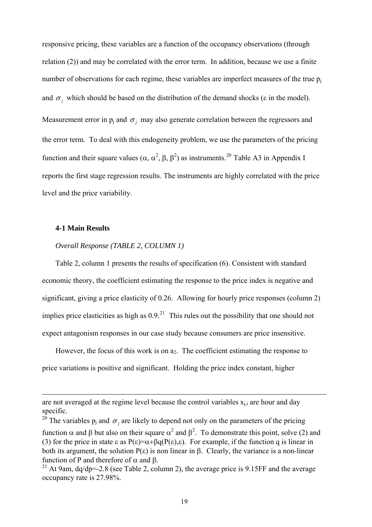responsive pricing, these variables are a function of the occupancy observations (through relation (2)) and may be correlated with the error term. In addition, because we use a finite number of observations for each regime, these variables are imperfect measures of the true  $p_i$ and  $\sigma_j$  which should be based on the distribution of the demand shocks ( $\varepsilon$  in the model). Measurement error in  $p_j$  and  $\sigma_j$  may also generate correlation between the regressors and the error term. To deal with this endogeneity problem, we use the parameters of the pricing function and their square values ( $\alpha$ ,  $\alpha^2$ ,  $\beta$ ,  $\beta^2$ ) as instruments.<sup>[20](#page-23-0)</sup> Table A3 in Appendix I reports the first stage regression results. The instruments are highly correlated with the price level and the price variability.

### **4-1 Main Results**

l

### *Overall Response (TABLE 2, COLUMN 1)*

Table 2, column 1 presents the results of specification (6). Consistent with standard economic theory, the coefficient estimating the response to the price index is negative and significant, giving a price elasticity of 0.26. Allowing for hourly price responses (column 2) implies price elasticities as high as  $0.9<sup>21</sup>$  $0.9<sup>21</sup>$  $0.9<sup>21</sup>$ . This rules out the possibility that one should not expect antagonism responses in our case study because consumers are price insensitive.

However, the focus of this work is on  $a_2$ . The coefficient estimating the response to price variations is positive and significant. Holding the price index constant, higher

are not averaged at the regime level because the control variables  $x_{i,i}$  are hour and day specific.

<span id="page-23-0"></span><sup>&</sup>lt;sup>20</sup> The variables  $p_j$  and  $\sigma_j$  are likely to depend not only on the parameters of the pricing function α and β but also on their square  $\alpha^2$  and  $\beta^2$ . To demonstrate this point, solve (2) and (3) for the price in state  $\varepsilon$  as  $P(\varepsilon)=\alpha+\beta q(P(\varepsilon),\varepsilon)$ . For example, if the function q is linear in both its argument, the solution  $P(\varepsilon)$  is non linear in β. Clearly, the variance is a non-linear

<span id="page-23-1"></span>function of P and therefore of α and β.<br><sup>21</sup> At 9am, dq/dp=-2.8 (see Table 2, column 2), the average price is 9.15FF and the average occupancy rate is 27.98%.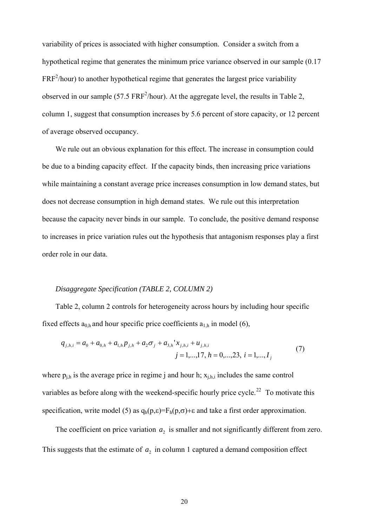variability of prices is associated with higher consumption. Consider a switch from a hypothetical regime that generates the minimum price variance observed in our sample (0.17  $FRF<sup>2</sup>/hour)$  to another hypothetical regime that generates the largest price variability observed in our sample (57.5  $FRF^2/h$ our). At the aggregate level, the results in Table 2, column 1, suggest that consumption increases by 5.6 percent of store capacity, or 12 percent of average observed occupancy.

We rule out an obvious explanation for this effect. The increase in consumption could be due to a binding capacity effect. If the capacity binds, then increasing price variations while maintaining a constant average price increases consumption in low demand states, but does not decrease consumption in high demand states. We rule out this interpretation because the capacity never binds in our sample. To conclude, the positive demand response to increases in price variation rules out the hypothesis that antagonism responses play a first order role in our data.

### *Disaggregate Specification (TABLE 2, COLUMN 2)*

Table 2, column 2 controls for heterogeneity across hours by including hour specific fixed effects  $a_{0,h}$  and hour specific price coefficients  $a_{1,h}$  in model (6),

$$
q_{j,h,i} = a_0 + a_{0,h} + a_{1,h} p_{j,h} + a_2 \sigma_j + a_{3,h} x_{j,h,i} + u_{j,h,i}
$$
  
\n
$$
j = 1,...,17, h = 0,...,23, i = 1,...,I_j
$$
\n(7)

where  $p_{i,h}$  is the average price in regime j and hour h;  $x_{i,h,i}$  includes the same control variables as before along with the weekend-specific hourly price cycle.<sup>[22](#page-24-0)</sup> To motivate this specification, write model (5) as  $q_h(p,\varepsilon)=F_h(p,\sigma)+\varepsilon$  and take a first order approximation.

<span id="page-24-0"></span>The coefficient on price variation  $a_2$  is smaller and not significantly different from zero. This suggests that the estimate of  $a_2$  in column 1 captured a demand composition effect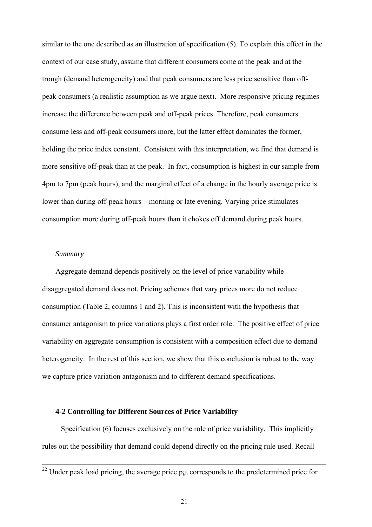similar to the one described as an illustration of specification (5). To explain this effect in the context of our case study, assume that different consumers come at the peak and at the trough (demand heterogeneity) and that peak consumers are less price sensitive than offpeak consumers (a realistic assumption as we argue next). More responsive pricing regimes increase the difference between peak and off-peak prices. Therefore, peak consumers consume less and off-peak consumers more, but the latter effect dominates the former, holding the price index constant. Consistent with this interpretation, we find that demand is more sensitive off-peak than at the peak. In fact, consumption is highest in our sample from 4pm to 7pm (peak hours), and the marginal effect of a change in the hourly average price is lower than during off-peak hours – morning or late evening. Varying price stimulates consumption more during off-peak hours than it chokes off demand during peak hours.

### *Summary*

l

Aggregate demand depends positively on the level of price variability while disaggregated demand does not. Pricing schemes that vary prices more do not reduce consumption (Table 2, columns 1 and 2). This is inconsistent with the hypothesis that consumer antagonism to price variations plays a first order role. The positive effect of price variability on aggregate consumption is consistent with a composition effect due to demand heterogeneity. In the rest of this section, we show that this conclusion is robust to the way we capture price variation antagonism and to different demand specifications.

### **4-2 Controlling for Different Sources of Price Variability**

Specification (6) focuses exclusively on the role of price variability. This implicitly rules out the possibility that demand could depend directly on the pricing rule used. Recall

<sup>&</sup>lt;sup>22</sup> Under peak load pricing, the average price  $p_{i,h}$  corresponds to the predetermined price for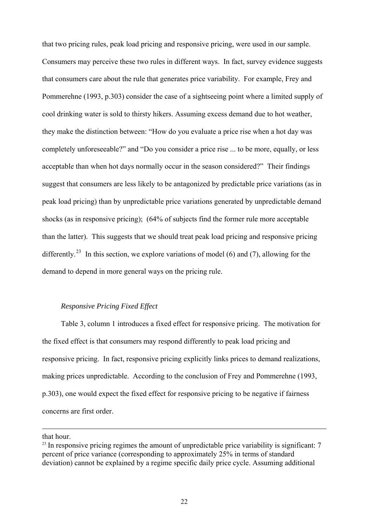that two pricing rules, peak load pricing and responsive pricing, were used in our sample. Consumers may perceive these two rules in different ways. In fact, survey evidence suggests that consumers care about the rule that generates price variability. For example, Frey and Pommerehne (1993, p.303) consider the case of a sightseeing point where a limited supply of cool drinking water is sold to thirsty hikers. Assuming excess demand due to hot weather, they make the distinction between: "How do you evaluate a price rise when a hot day was completely unforeseeable?" and "Do you consider a price rise ... to be more, equally, or less acceptable than when hot days normally occur in the season considered?" Their findings suggest that consumers are less likely to be antagonized by predictable price variations (as in peak load pricing) than by unpredictable price variations generated by unpredictable demand shocks (as in responsive pricing); (64% of subjects find the former rule more acceptable than the latter). This suggests that we should treat peak load pricing and responsive pricing differently.<sup>[23](#page-26-0)</sup> In this section, we explore variations of model (6) and (7), allowing for the demand to depend in more general ways on the pricing rule.

### *Responsive Pricing Fixed Effect*

Table 3, column 1 introduces a fixed effect for responsive pricing. The motivation for the fixed effect is that consumers may respond differently to peak load pricing and responsive pricing. In fact, responsive pricing explicitly links prices to demand realizations, making prices unpredictable. According to the conclusion of Frey and Pommerehne (1993, p.303), one would expect the fixed effect for responsive pricing to be negative if fairness concerns are first order.

that hour.

<span id="page-26-0"></span> $^{23}$  In responsive pricing regimes the amount of unpredictable price variability is significant: 7 percent of price variance (corresponding to approximately 25% in terms of standard deviation) cannot be explained by a regime specific daily price cycle. Assuming additional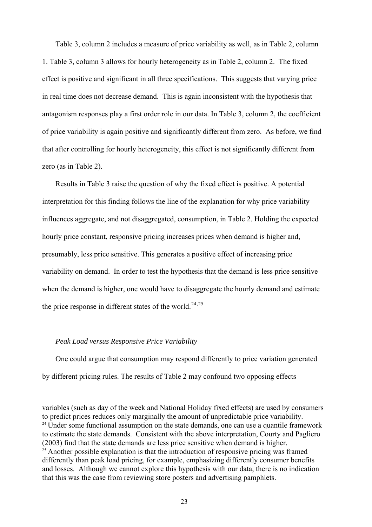Table 3, column 2 includes a measure of price variability as well, as in Table 2, column 1. Table 3, column 3 allows for hourly heterogeneity as in Table 2, column 2. The fixed effect is positive and significant in all three specifications. This suggests that varying price in real time does not decrease demand. This is again inconsistent with the hypothesis that antagonism responses play a first order role in our data. In Table 3, column 2, the coefficient of price variability is again positive and significantly different from zero. As before, we find that after controlling for hourly heterogeneity, this effect is not significantly different from zero (as in Table 2).

Results in Table 3 raise the question of why the fixed effect is positive. A potential interpretation for this finding follows the line of the explanation for why price variability influences aggregate, and not disaggregated, consumption, in Table 2. Holding the expected hourly price constant, responsive pricing increases prices when demand is higher and, presumably, less price sensitive. This generates a positive effect of increasing price variability on demand. In order to test the hypothesis that the demand is less price sensitive when the demand is higher, one would have to disaggregate the hourly demand and estimate the price response in different states of the world.<sup>[24](#page-27-0),[25](#page-27-1)</sup>

### *Peak Load versus Responsive Price Variability*

l

One could argue that consumption may respond differently to price variation generated by different pricing rules. The results of Table 2 may confound two opposing effects

<span id="page-27-1"></span><span id="page-27-0"></span>variables (such as day of the week and National Holiday fixed effects) are used by consumers to predict prices reduces only marginally the amount of unpredictable price variability.  $24$  Under some functional assumption on the state demands, one can use a quantile framework to estimate the state demands. Consistent with the above interpretation, Courty and Pagliero (2003) find that the state demands are less price sensitive when demand is higher.  $25$  Another possible explanation is that the introduction of responsive pricing was framed differently than peak load pricing, for example, emphasizing differently consumer benefits and losses. Although we cannot explore this hypothesis with our data, there is no indication that this was the case from reviewing store posters and advertising pamphlets.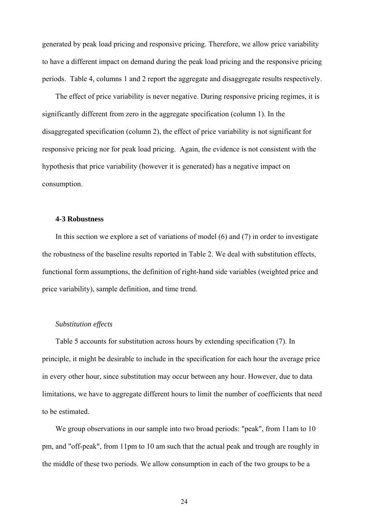generated by peak load pricing and responsive pricing. Therefore, we allow price variability to have a different impact on demand during the peak load pricing and the responsive pricing periods. Table 4, columns 1 and 2 report the aggregate and disaggregate results respectively.

The effect of price variability is never negative. During responsive pricing regimes, it is significantly different from zero in the aggregate specification (column 1). In the disaggregated specification (column 2), the effect of price variability is not significant for responsive pricing nor for peak load pricing. Again, the evidence is not consistent with the hypothesis that price variability (however it is generated) has a negative impact on consumption.

#### **4-3 Robustness**

In this section we explore a set of variations of model (6) and (7) in order to investigate the robustness of the baseline results reported in Table 2. We deal with substitution effects, functional form assumptions, the definition of right-hand side variables (weighted price and price variability), sample definition, and time trend.

### *Substitution effects*

Table 5 accounts for substitution across hours by extending specification (7). In principle, it might be desirable to include in the specification for each hour the average price in every other hour, since substitution may occur between any hour. However, due to data limitations, we have to aggregate different hours to limit the number of coefficients that need to be estimated.

We group observations in our sample into two broad periods: "peak", from 11am to 10 pm, and "off-peak", from 11pm to 10 am such that the actual peak and trough are roughly in the middle of these two periods. We allow consumption in each of the two groups to be a

24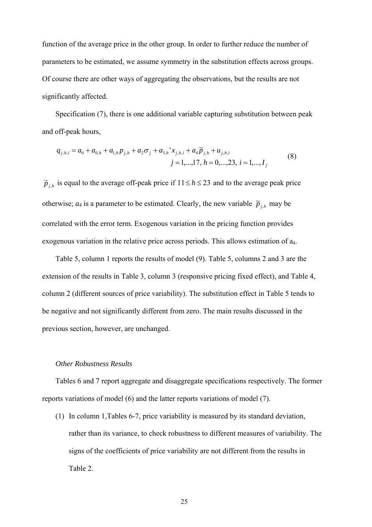function of the average price in the other group. In order to further reduce the number of parameters to be estimated, we assume symmetry in the substitution effects across groups. Of course there are other ways of aggregating the observations, but the results are not significantly affected.

Specification (7), there is one additional variable capturing substitution between peak and off-peak hours,

$$
q_{j,h,i} = a_0 + a_{0,h} + a_{1,h} p_{j,h} + a_2 \sigma_j + a_{3,h} x_{j,h,i} + a_4 \widetilde{p}_{j,h} + u_{j,h,i}
$$
  
\n
$$
j = 1,...,17, h = 0,...,23, i = 1,...,I_j
$$
\n(8)

 $\widetilde{p}_{j,h}$  is equal to the average off-peak price if  $11 \le h \le 23$  and to the average peak price otherwise;  $a_4$  is a parameter to be estimated. Clearly, the new variable  $\tilde{p}_{j,h}$  may be correlated with the error term. Exogenous variation in the pricing function provides exogenous variation in the relative price across periods. This allows estimation of  $a_4$ .

Table 5, column 1 reports the results of model (9). Table 5, columns 2 and 3 are the extension of the results in Table 3, column 3 (responsive pricing fixed effect), and Table 4, column 2 (different sources of price variability). The substitution effect in Table 5 tends to be negative and not significantly different from zero. The main results discussed in the previous section, however, are unchanged.

### *Other Robustness Results*

Tables 6 and 7 report aggregate and disaggregate specifications respectively. The former reports variations of model (6) and the latter reports variations of model (7).

(1) In column 1,Tables 6-7, price variability is measured by its standard deviation, rather than its variance, to check robustness to different measures of variability. The signs of the coefficients of price variability are not different from the results in Table 2.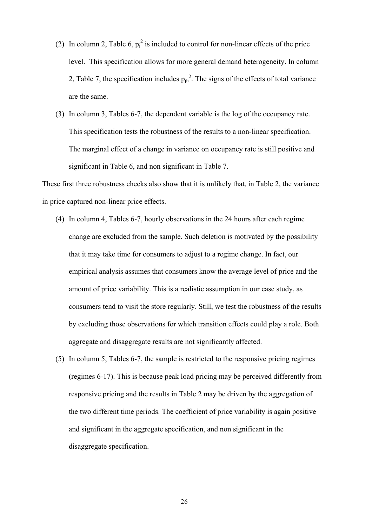- (2) In column 2, Table 6,  $p_j^2$  is included to control for non-linear effects of the price level. This specification allows for more general demand heterogeneity. In column 2, Table 7, the specification includes  $p_{jh}^2$ . The signs of the effects of total variance are the same.
- (3) In column 3, Tables 6-7, the dependent variable is the log of the occupancy rate. This specification tests the robustness of the results to a non-linear specification. The marginal effect of a change in variance on occupancy rate is still positive and significant in Table 6, and non significant in Table 7.

These first three robustness checks also show that it is unlikely that, in Table 2, the variance in price captured non-linear price effects.

- (4) In column 4, Tables 6-7, hourly observations in the 24 hours after each regime change are excluded from the sample. Such deletion is motivated by the possibility that it may take time for consumers to adjust to a regime change. In fact, our empirical analysis assumes that consumers know the average level of price and the amount of price variability. This is a realistic assumption in our case study, as consumers tend to visit the store regularly. Still, we test the robustness of the results by excluding those observations for which transition effects could play a role. Both aggregate and disaggregate results are not significantly affected.
- (5) In column 5, Tables 6-7, the sample is restricted to the responsive pricing regimes (regimes 6-17). This is because peak load pricing may be perceived differently from responsive pricing and the results in Table 2 may be driven by the aggregation of the two different time periods. The coefficient of price variability is again positive and significant in the aggregate specification, and non significant in the disaggregate specification.

26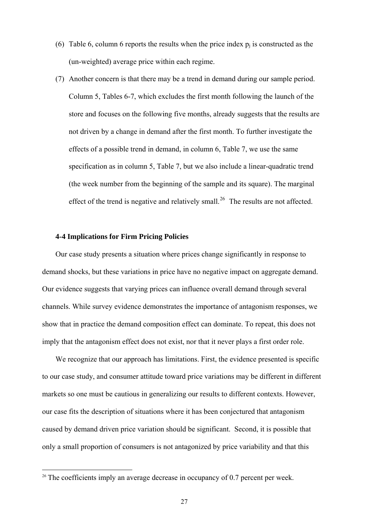- (6) Table 6, column 6 reports the results when the price index  $p_i$  is constructed as the (un-weighted) average price within each regime.
- (7) Another concern is that there may be a trend in demand during our sample period. Column 5, Tables 6-7, which excludes the first month following the launch of the store and focuses on the following five months, already suggests that the results are not driven by a change in demand after the first month. To further investigate the effects of a possible trend in demand, in column 6, Table 7, we use the same specification as in column 5, Table 7, but we also include a linear-quadratic trend (the week number from the beginning of the sample and its square). The marginal effect of the trend is negative and relatively small.<sup>[26](#page-31-0)</sup> The results are not affected.

### **4-4 Implications for Firm Pricing Policies**

l

Our case study presents a situation where prices change significantly in response to demand shocks, but these variations in price have no negative impact on aggregate demand. Our evidence suggests that varying prices can influence overall demand through several channels. While survey evidence demonstrates the importance of antagonism responses, we show that in practice the demand composition effect can dominate. To repeat, this does not imply that the antagonism effect does not exist, nor that it never plays a first order role.

We recognize that our approach has limitations. First, the evidence presented is specific to our case study, and consumer attitude toward price variations may be different in different markets so one must be cautious in generalizing our results to different contexts. However, our case fits the description of situations where it has been conjectured that antagonism caused by demand driven price variation should be significant. Second, it is possible that only a small proportion of consumers is not antagonized by price variability and that this

<span id="page-31-0"></span><sup>&</sup>lt;sup>26</sup> The coefficients imply an average decrease in occupancy of 0.7 percent per week.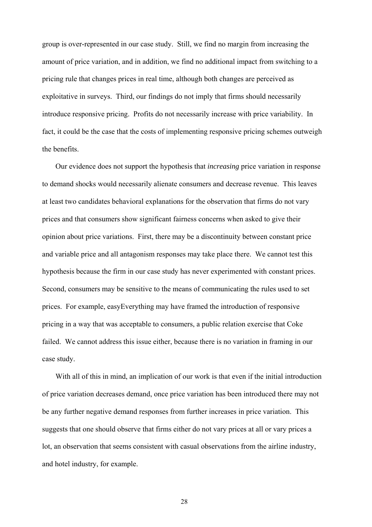group is over-represented in our case study. Still, we find no margin from increasing the amount of price variation, and in addition, we find no additional impact from switching to a pricing rule that changes prices in real time, although both changes are perceived as exploitative in surveys. Third, our findings do not imply that firms should necessarily introduce responsive pricing. Profits do not necessarily increase with price variability. In fact, it could be the case that the costs of implementing responsive pricing schemes outweigh the benefits.

Our evidence does not support the hypothesis that *increasing* price variation in response to demand shocks would necessarily alienate consumers and decrease revenue. This leaves at least two candidates behavioral explanations for the observation that firms do not vary prices and that consumers show significant fairness concerns when asked to give their opinion about price variations. First, there may be a discontinuity between constant price and variable price and all antagonism responses may take place there. We cannot test this hypothesis because the firm in our case study has never experimented with constant prices. Second, consumers may be sensitive to the means of communicating the rules used to set prices. For example, easyEverything may have framed the introduction of responsive pricing in a way that was acceptable to consumers, a public relation exercise that Coke failed. We cannot address this issue either, because there is no variation in framing in our case study.

With all of this in mind, an implication of our work is that even if the initial introduction of price variation decreases demand, once price variation has been introduced there may not be any further negative demand responses from further increases in price variation. This suggests that one should observe that firms either do not vary prices at all or vary prices a lot, an observation that seems consistent with casual observations from the airline industry, and hotel industry, for example.

28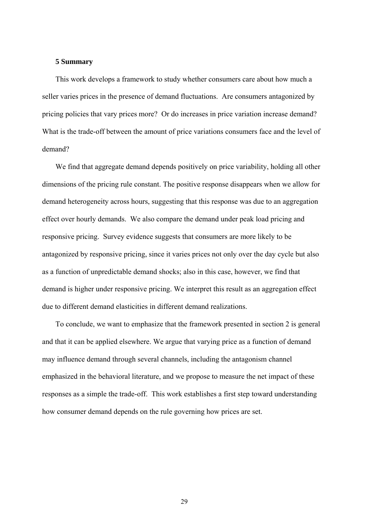### **5 Summary**

This work develops a framework to study whether consumers care about how much a seller varies prices in the presence of demand fluctuations. Are consumers antagonized by pricing policies that vary prices more? Or do increases in price variation increase demand? What is the trade-off between the amount of price variations consumers face and the level of demand?

We find that aggregate demand depends positively on price variability, holding all other dimensions of the pricing rule constant. The positive response disappears when we allow for demand heterogeneity across hours, suggesting that this response was due to an aggregation effect over hourly demands. We also compare the demand under peak load pricing and responsive pricing. Survey evidence suggests that consumers are more likely to be antagonized by responsive pricing, since it varies prices not only over the day cycle but also as a function of unpredictable demand shocks; also in this case, however, we find that demand is higher under responsive pricing. We interpret this result as an aggregation effect due to different demand elasticities in different demand realizations.

To conclude, we want to emphasize that the framework presented in section 2 is general and that it can be applied elsewhere. We argue that varying price as a function of demand may influence demand through several channels, including the antagonism channel emphasized in the behavioral literature, and we propose to measure the net impact of these responses as a simple the trade-off. This work establishes a first step toward understanding how consumer demand depends on the rule governing how prices are set.

29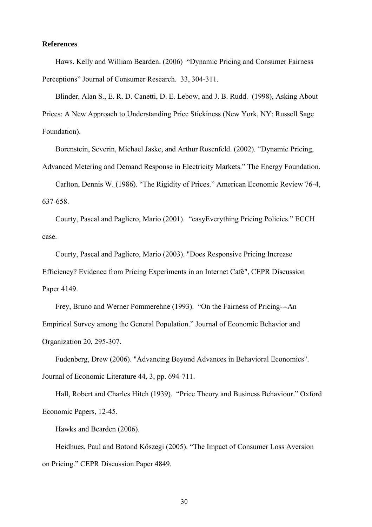### **References**

Haws, Kelly and William Bearden. (2006) "Dynamic Pricing and Consumer Fairness Perceptions" Journal of Consumer Research. 33, 304-311.

Blinder, Alan S., E. R. D. Canetti, D. E. Lebow, and J. B. Rudd. (1998), Asking About Prices: A New Approach to Understanding Price Stickiness (New York, NY: Russell Sage Foundation).

Borenstein, Severin, Michael Jaske, and Arthur Rosenfeld. (2002). "Dynamic Pricing,

Advanced Metering and Demand Response in Electricity Markets." The Energy Foundation.

Carlton, Dennis W. (1986). "The Rigidity of Prices." American Economic Review 76-4, 637-658.

Courty, Pascal and Pagliero, Mario (2001). "easyEverything Pricing Policies." ECCH case.

Courty, Pascal and Pagliero, Mario (2003). "Does Responsive Pricing Increase Efficiency? Evidence from Pricing Experiments in an Internet Cafè", CEPR Discussion Paper 4149.

Frey, Bruno and Werner Pommerehne (1993). "On the Fairness of Pricing---An Empirical Survey among the General Population." Journal of Economic Behavior and Organization 20, 295-307.

Fudenberg, Drew (2006). "Advancing Beyond Advances in Behavioral Economics". Journal of Economic Literature 44, 3, pp. 694-711.

Hall, Robert and Charles Hitch (1939). "Price Theory and Business Behaviour." Oxford Economic Papers, 12-45.

Hawks and Bearden (2006).

Heidhues, Paul and Botond Kőszegi (2005). "The Impact of Consumer Loss Aversion on Pricing." CEPR Discussion Paper 4849.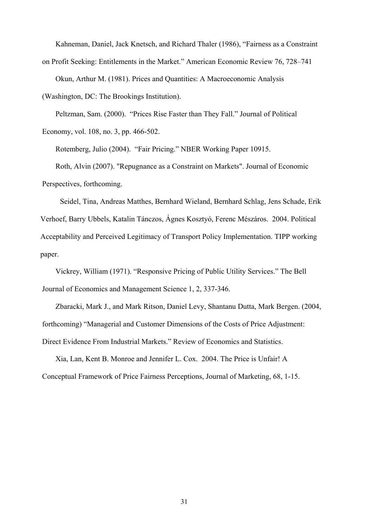Kahneman, Daniel, Jack Knetsch, and Richard Thaler (1986), "Fairness as a Constraint on Profit Seeking: Entitlements in the Market." American Economic Review 76, 728–741

Okun, Arthur M. (1981). Prices and Quantities: A Macroeconomic Analysis

(Washington, DC: The Brookings Institution).

Peltzman, Sam. (2000). "Prices Rise Faster than They Fall." Journal of Political Economy, vol. 108, no. 3, pp. 466-502.

Rotemberg, Julio (2004). "Fair Pricing." NBER Working Paper 10915. Roth, Alvin (2007). "Repugnance as a Constraint on Markets". Journal of Economic Perspectives, forthcoming.

Seidel, Tina, Andreas Matthes, Bernhard Wieland, Bernhard Schlag, Jens Schade, Erik Verhoef, Barry Ubbels, Katalin Tánczos, Ágnes Kosztyó, Ferenc Mészáros. 2004. Political Acceptability and Perceived Legitimacy of Transport Policy Implementation. TIPP working paper.

Vickrey, William (1971). "Responsive Pricing of Public Utility Services." The Bell Journal of Economics and Management Science 1, 2, 337-346.

Zbaracki, Mark J., and Mark Ritson, Daniel Levy, Shantanu Dutta, Mark Bergen. (2004, forthcoming) "Managerial and Customer Dimensions of the Costs of Price Adjustment: Direct Evidence From Industrial Markets." Review of Economics and Statistics.

Xia, Lan, Kent B. Monroe and Jennifer L. Cox. 2004. The Price is Unfair! A Conceptual Framework of Price Fairness Perceptions, Journal of Marketing, 68, 1-15.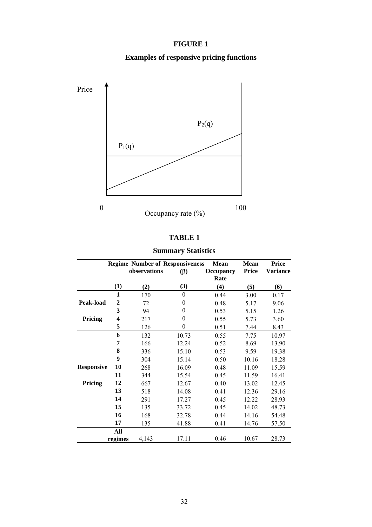### **FIGURE 1**

### **Examples of responsive pricing functions**



### **TABLE 1**

### **Summary Statistics**

|                   |                | <b>Regime Number of Responsiveness</b> |           | <b>Mean</b>      | <b>Mean</b>  | <b>Price</b> |
|-------------------|----------------|----------------------------------------|-----------|------------------|--------------|--------------|
|                   |                | observations                           | $(\beta)$ | <b>Occupancy</b> | <b>Price</b> | Variance     |
|                   |                |                                        |           | Rate             |              |              |
|                   | $\bf(1)$       | (2)                                    | (3)       | (4)              | (5)          | (6)          |
|                   | $\mathbf{1}$   | 170                                    | $\theta$  | 0.44             | 3.00         | 0.17         |
| Peak-load         | $\overline{2}$ | 72                                     | $\theta$  | 0.48             | 5.17         | 9.06         |
|                   | 3              | 94                                     | $\theta$  | 0.53             | 5.15         | 1.26         |
| Pricing           | 4              | 217                                    | $\theta$  | 0.55             | 5.73         | 3.60         |
|                   | 5              | 126                                    | $\theta$  | 0.51             | 7.44         | 8.43         |
|                   | 6              | 132                                    | 10.73     | 0.55             | 7.75         | 10.97        |
|                   | 7              | 166                                    | 12.24     | 0.52             | 8.69         | 13.90        |
|                   | 8              | 336                                    | 15.10     | 0.53             | 9.59         | 19.38        |
|                   | 9              | 304                                    | 15.14     | 0.50             | 10.16        | 18.28        |
| <b>Responsive</b> | 10             | 268                                    | 16.09     | 0.48             | 11.09        | 15.59        |
|                   | 11             | 344                                    | 15.54     | 0.45             | 11.59        | 16.41        |
| Pricing           | 12             | 667                                    | 12.67     | 0.40             | 13.02        | 12.45        |
|                   | 13             | 518                                    | 14.08     | 0.41             | 12.36        | 29.16        |
|                   | 14             | 291                                    | 17.27     | 0.45             | 12.22        | 28.93        |
|                   | 15             | 135                                    | 33.72     | 0.45             | 14.02        | 48.73        |
|                   | 16             | 168                                    | 32.78     | 0.44             | 14.16        | 54.48        |
|                   | 17             | 135                                    | 41.88     | 0.41             | 14.76        | 57.50        |
|                   | All            |                                        |           |                  |              |              |
|                   | regimes        | 4,143                                  | 17.11     | 0.46             | 10.67        | 28.73        |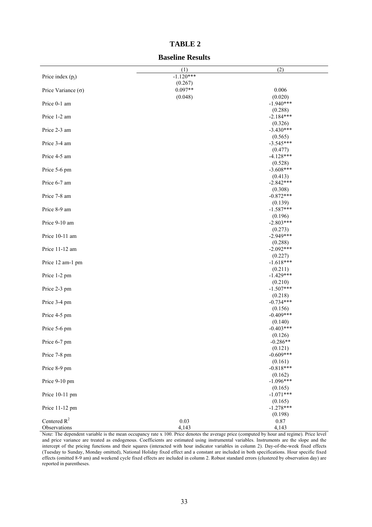|                           | (1)                  | (2)                    |
|---------------------------|----------------------|------------------------|
| Price index $(p_i)$       | $-1.120***$          |                        |
| Price Variance $(\sigma)$ | (0.267)<br>$0.097**$ | 0.006                  |
|                           | (0.048)              | (0.020)                |
| Price 0-1 am              |                      | $-1.940***$            |
|                           |                      | (0.288)                |
| Price 1-2 am              |                      | $-2.184***$            |
| Price 2-3 am              |                      | (0.326)<br>$-3.430***$ |
|                           |                      | (0.565)                |
| Price 3-4 am              |                      | $-3.545***$            |
|                           |                      | (0.477)                |
| Price 4-5 am              |                      | $-4.128***$<br>(0.528) |
| Price 5-6 pm              |                      | $-3.608***$            |
|                           |                      | (0.413)                |
| Price 6-7 am              |                      | $-2.842***$            |
| Price 7-8 am              |                      | (0.308)<br>$-0.872***$ |
|                           |                      | (0.139)                |
| Price 8-9 am              |                      | $-1.587***$            |
|                           |                      | (0.196)                |
| Price 9-10 am             |                      | $-2.803***$<br>(0.273) |
| Price 10-11 am            |                      | $-2.949***$            |
|                           |                      | (0.288)                |
| Price 11-12 am            |                      | $-2.092***$            |
|                           |                      | (0.227)<br>$-1.618***$ |
| Price 12 am-1 pm          |                      | (0.211)                |
| Price 1-2 pm              |                      | $-1.429***$            |
|                           |                      | (0.210)                |
| Price 2-3 pm              |                      | $-1.507***$            |
| Price 3-4 pm              |                      | (0.218)<br>$-0.734***$ |
|                           |                      | (0.156)                |
| Price 4-5 pm              |                      | $-0.409***$            |
|                           |                      | (0.140)<br>$-0.403***$ |
| Price 5-6 pm              |                      | (0.126)                |
| Price 6-7 pm              |                      | $-0.286**$             |
|                           |                      | (0.121)                |
| Price 7-8 pm              |                      | $-0.609***$            |
| Price 8-9 pm              |                      | (0.161)<br>$-0.818***$ |
|                           |                      | (0.162)                |
| Price 9-10 pm             |                      | $-1.096***$            |
|                           |                      | (0.165)                |
| Price 10-11 pm            |                      | $-1.071***$<br>(0.165) |
| Price 11-12 pm            |                      | $-1.278***$            |
|                           |                      | (0.198)                |
| Centered $R^2$            | 0.03                 | 0.87                   |
| Observations              | 4,143                | 4,143                  |

### **TABLE 2**

#### **Baseline Results**

Note: The dependent variable is the mean occupancy rate x 100. Price denotes the average price (computed by hour and regime). Price level and price variance are treated as endogenous. Coefficients are estimated using instrumental variables. Instruments are the slope and the intercept of the pricing functions and their squares (interacted with hour indicator variables in column 2). Day-of-the-week fixed effects (Tuesday to Sunday, Monday omitted), National Holiday fixed effect and a constant are included in both specifications. Hour specific fixed effects (omitted 8-9 am) and weekend cycle fixed effects are included in column 2. Robust standard errors (clustered by observation day) are reported in parentheses.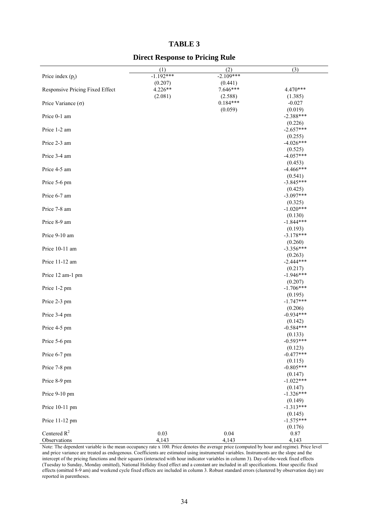#### **TABLE 3**

### **Direct Response to Pricing Rule**

|                                 | (1)                    | (2)                    | (3)                    |
|---------------------------------|------------------------|------------------------|------------------------|
| Price index $(p_i)$             | $-1.192***$<br>(0.207) | $-2.109***$<br>(0.441) |                        |
| Responsive Pricing Fixed Effect | 4.226**                | 7.646***               | 4.470***               |
|                                 | (2.081)                | (2.588)                | (1.385)                |
| Price Variance $(\sigma)$       |                        | $0.184***$             | $-0.027$               |
|                                 |                        | (0.059)                | (0.019)                |
| Price 0-1 am                    |                        |                        | $-2.388***$<br>(0.226) |
| Price 1-2 am                    |                        |                        | $-2.657***$            |
|                                 |                        |                        | (0.255)                |
| Price 2-3 am                    |                        |                        | $-4.026***$            |
| Price 3-4 am                    |                        |                        | (0.525)<br>$-4.057***$ |
|                                 |                        |                        | (0.453)                |
| Price 4-5 am                    |                        |                        | $-4.466***$            |
|                                 |                        |                        | (0.541)                |
| Price 5-6 pm                    |                        |                        | $-3.845***$<br>(0.425) |
| Price 6-7 am                    |                        |                        | $-3.097***$            |
|                                 |                        |                        | (0.325)                |
| Price 7-8 am                    |                        |                        | $-1.020***$            |
| Price 8-9 am                    |                        |                        | (0.130)<br>$-1.844***$ |
|                                 |                        |                        | (0.193)                |
| Price 9-10 am                   |                        |                        | $-3.178***$            |
|                                 |                        |                        | (0.260)                |
| Price 10-11 am                  |                        |                        | $-3.356***$<br>(0.263) |
| Price 11-12 am                  |                        |                        | $-2.444***$            |
|                                 |                        |                        | (0.217)                |
| Price 12 am-1 pm                |                        |                        | $-1.946***$            |
| Price 1-2 pm                    |                        |                        | (0.207)<br>$-1.706***$ |
|                                 |                        |                        | (0.195)                |
| Price 2-3 pm                    |                        |                        | $-1.747***$            |
|                                 |                        |                        | (0.206)<br>$-0.934***$ |
| Price 3-4 pm                    |                        |                        | (0.142)                |
| Price 4-5 pm                    |                        |                        | $-0.584***$            |
|                                 |                        |                        | (0.133)                |
| Price 5-6 pm                    |                        |                        | $-0.593***$<br>(0.123) |
| Price 6-7 pm                    |                        |                        | $-0.477***$            |
|                                 |                        |                        | (0.115)                |
| Price 7-8 pm                    |                        |                        | $-0.805***$            |
|                                 |                        |                        | (0.147)<br>$-1.022***$ |
| Price 8-9 pm                    |                        |                        | (0.147)                |
| Price 9-10 pm                   |                        |                        | $-1.326***$            |
|                                 |                        |                        | (0.149)                |
| Price 10-11 pm                  |                        |                        | $-1.313***$            |
| Price 11-12 pm                  |                        |                        | (0.145)<br>$-1.575***$ |
|                                 |                        |                        | (0.176)                |
| Centered $R^2$                  | 0.03                   | 0.04                   | 0.87                   |
| Observations                    | 4,143                  | 4,143                  | 4,143                  |

Note: The dependent variable is the mean occupancy rate x 100. Price denotes the average price (computed by hour and regime). Price level and price variance are treated as endogenous. Coefficients are estimated using instrumental variables. Instruments are the slope and the intercept of the pricing functions and their squares (interacted with hour indicator variables in column 3). Day-of-the-week fixed effects (Tuesday to Sunday, Monday omitted), National Holiday fixed effect and a constant are included in all specifications. Hour specific fixed effects (omitted 8-9 am) and weekend cycle fixed effects are included in column 3. Robust standard errors (clustered by observation day) are reported in parentheses.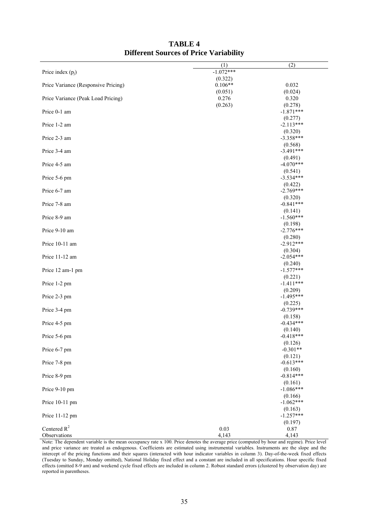|                                     | (1)              | (2)                    |
|-------------------------------------|------------------|------------------------|
| Price index $(p_i)$                 | $-1.072***$      |                        |
|                                     | (0.322)          |                        |
| Price Variance (Responsive Pricing) | $0.106**$        | 0.032                  |
| Price Variance (Peak Load Pricing)  | (0.051)<br>0.276 | (0.024)<br>0.320       |
|                                     | (0.263)          | (0.278)                |
| Price 0-1 am                        |                  | $-1.871***$            |
|                                     |                  | (0.277)                |
| Price 1-2 am                        |                  | $-2.113***$            |
|                                     |                  | (0.320)                |
| Price 2-3 am                        |                  | $-3.358***$            |
| Price 3-4 am                        |                  | (0.568)<br>$-3.491***$ |
|                                     |                  | (0.491)                |
| Price 4-5 am                        |                  | $-4.070***$            |
|                                     |                  | (0.541)                |
| Price 5-6 pm                        |                  | $-3.534***$            |
| Price 6-7 am                        |                  | (0.422)<br>$-2.769***$ |
|                                     |                  | (0.320)                |
| Price 7-8 am                        |                  | $-0.841***$            |
|                                     |                  | (0.141)                |
| Price 8-9 am                        |                  | $-1.560***$            |
|                                     |                  | (0.198)                |
| Price 9-10 am                       |                  | $-2.776***$            |
| Price 10-11 am                      |                  | (0.280)<br>$-2.912***$ |
|                                     |                  | (0.304)                |
| Price 11-12 am                      |                  | $-2.054***$            |
|                                     |                  | (0.240)                |
| Price 12 am-1 pm                    |                  | $-1.577***$            |
|                                     |                  | (0.221)                |
| Price 1-2 pm                        |                  | $-1.411***$<br>(0.209) |
| Price 2-3 pm                        |                  | $-1.495***$            |
|                                     |                  | (0.225)                |
| Price 3-4 pm                        |                  | $-0.739***$            |
|                                     |                  | (0.158)                |
| Price 4-5 pm                        |                  | $-0.434***$<br>(0.140) |
| Price 5-6 pm                        |                  | $-0.418***$            |
|                                     |                  | (0.126)                |
| Price 6-7 pm                        |                  | $-0.301**$             |
|                                     |                  | (0.121)                |
| Price 7-8 pm                        |                  | $-0.613***$            |
|                                     |                  | (0.160)<br>$-0.814***$ |
| Price 8-9 pm                        |                  | (0.161)                |
| Price 9-10 pm                       |                  | $-1.086***$            |
|                                     |                  | (0.166)                |
| Price 10-11 pm                      |                  | $-1.062***$            |
|                                     |                  | (0.163)                |
| Price 11-12 pm                      |                  | $-1.257***$<br>(0.197) |
| Centered $R^2$                      | 0.03             | 0.87                   |
| Observations                        | 4,143            | 4,143                  |

### **TABLE 4 Different Sources of Price Variability**

Note: The dependent variable is the mean occupancy rate x 100. Price denotes the average price (computed by hour and regime). Price level and price variance are treated as endogenous. Coefficients are estimated using instrumental variables. Instruments are the slope and the intercept of the pricing functions and their squares (interacted with hour indicator variables in column 3). Day-of-the-week fixed effects (Tuesday to Sunday, Monday omitted), National Holiday fixed effect and a constant are included in all specifications. Hour specific fixed effects (omitted 8-9 am) and weekend cycle fixed effects are included in column 2. Robust standard errors (clustered by observation day) are reported in parentheses.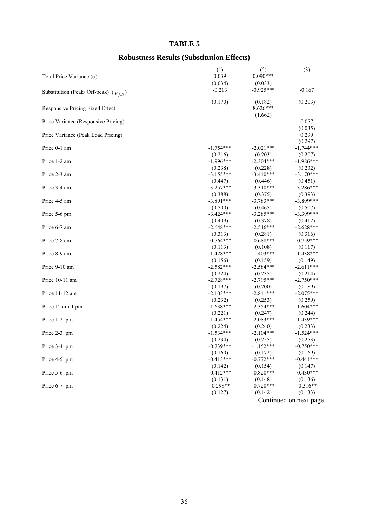### **TABLE 5**

### **Robustness Results (Substitution Effects)**

|                                                     | (1)         | (2)         | (3)         |
|-----------------------------------------------------|-------------|-------------|-------------|
| Total Price Variance $(\sigma)$                     | 0.039       | $0.090***$  |             |
|                                                     | (0.034)     | (0.033)     |             |
| Substitution (Peak/ Off-peak) ( $\tilde{p}_{i,h}$ ) | $-0.213$    | $-0.925***$ | $-0.167$    |
|                                                     | (0.170)     | (0.182)     | (0.203)     |
| Responsive Pricing Fixed Effect                     |             | 8.626***    |             |
|                                                     |             | (1.662)     |             |
| Price Variance (Responsive Pricing)                 |             |             | 0.057       |
|                                                     |             |             | (0.035)     |
| Price Variance (Peak Load Pricing)                  |             |             | 0.299       |
|                                                     |             |             | (0.297)     |
| Price 0-1 am                                        | $-1.754***$ | $-2.021***$ | $-1.744***$ |
|                                                     | (0.216)     | (0.203)     | (0.207)     |
| Price 1-2 am                                        | $-1.996***$ | $-2.304***$ | $-1.986***$ |
|                                                     | (0.238)     | (0.228)     | (0.232)     |
| Price 2-3 am                                        | $-3.155***$ | $-3.440***$ | $-3.170***$ |
|                                                     | (0.447)     | (0.446)     | (0.451)     |
| Price 3-4 am                                        | $-3.257***$ | $-3.310***$ | $-3.286***$ |
|                                                     | (0.388)     | (0.375)     | (0.393)     |
| Price 4-5 am                                        | $-3.891***$ | $-3.783***$ | $-3.899***$ |
|                                                     | (0.500)     | (0.465)     | (0.507)     |
| Price 5-6 pm                                        | $-3.424***$ | $-3.285***$ | $-3.399***$ |
|                                                     | (0.409)     | (0.378)     | (0.412)     |
| Price 6-7 am                                        | $-2.648***$ | $-2.516***$ | $-2.628***$ |
|                                                     | (0.313)     | (0.281)     | (0.316)     |
| Price 7-8 am                                        | $-0.764***$ | $-0.688***$ | $-0.759***$ |
|                                                     | (0.113)     | (0.108)     | (0.117)     |
| Price 8-9 am                                        | $-1.428***$ | $-1.403***$ | $-1.438***$ |
|                                                     | (0.156)     | (0.159)     | (0.149)     |
| Price 9-10 am                                       | $-2.582***$ | $-2.584***$ | $-2.611***$ |
|                                                     | (0.224)     | (0.235)     | (0.214)     |
| Price 10-11 am                                      | $-2.728***$ | $-2.795***$ | $-2.750***$ |
|                                                     | (0.197)     | (0.200)     | (0.189)     |
| Price 11-12 am                                      | $-2.103***$ | $-2.841***$ | $-2.075***$ |
|                                                     | (0.232)     | (0.253)     | (0.259)     |
| Price 12 am-1 pm                                    | $-1.638***$ | $-2.354***$ | $-1.604***$ |
|                                                     | (0.221)     | (0.247)     | (0.244)     |
| Price 1-2 pm                                        | $-1.454***$ | $-2.083***$ | $-1.439***$ |
|                                                     | (0.224)     | (0.240)     | (0.233)     |
| Price 2-3 pm                                        | $-1.534***$ | $-2.104***$ | $-1.524***$ |
|                                                     | (0.234)     | (0.255)     | (0.253)     |
| Price 3-4 pm                                        | $-0.739***$ | $-1.152***$ | $-0.750***$ |
|                                                     | (0.160)     | (0.172)     | (0.169)     |
| Price 4-5 pm                                        | $-0.413***$ | $-0.772***$ | $-0.441***$ |
|                                                     | (0.142)     | (0.154)     | (0.147)     |
| Price 5-6 pm                                        | $-0.412***$ | $-0.820***$ | $-0.430***$ |
|                                                     | (0.131)     | (0.148)     | (0.136)     |
| Price 6-7 pm                                        | $-0.298**$  | $-0.720***$ | $-0.316**$  |
|                                                     | (0.127)     | (0.142)     | (0.133)     |

Continued on next page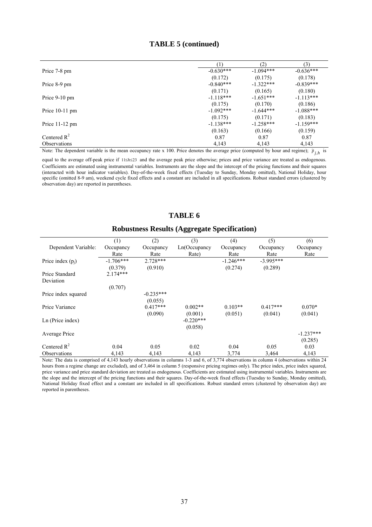|                     |             | (2)         | (3)         |
|---------------------|-------------|-------------|-------------|
| Price 7-8 pm        | $-0.630***$ | $-1.094***$ | $-0.636***$ |
|                     | (0.172)     | (0.175)     | (0.178)     |
| Price 8-9 pm        | $-0.840***$ | $-1.322***$ | $-0.839***$ |
|                     | (0.171)     | (0.165)     | (0.180)     |
| Price $9-10$ pm     | $-1.118***$ | $-1.651***$ | $-1.113***$ |
|                     | (0.175)     | (0.170)     | (0.186)     |
| Price $10-11$ pm    | $-1.092***$ | $-1.644***$ | $-1.088***$ |
|                     | (0.175)     | (0.171)     | (0.183)     |
| Price $11-12$ pm    | $-1.138***$ | $-1.258***$ | $-1.159***$ |
|                     | (0.163)     | (0.166)     | (0.159)     |
| Centered $R^2$      | 0.87        | 0.87        | 0.87        |
| <b>Observations</b> | 4,143       | 4,143       | 4,143       |

Note: The dependent variable is the mean occupancy rate x 100. Price denotes the average price (computed by hour and regime);  $\tilde{p}_{j,h}$  is

equal to the average off-peak price if  $1 \le h \le 23$  and the average peak price otherwise; prices and price variance are treated as endogenous. Coefficients are estimated using instrumental variables. Instruments are the slope and the intercept of the pricing functions and their squares (interacted with hour indicator variables). Day-of-the-week fixed effects (Tuesday to Sunday, Monday omitted), National Holiday, hour specific (omitted 8-9 am), weekend cycle fixed effects and a constant are included in all specifications. Robust standard errors (clustered by observation day) are reported in parentheses.

### **TABLE 6**

### **Robustness Results (Aggregate Specification)**

|                     | (1)         | (2)         | (3)          | (4)         | (5)         | (6)         |
|---------------------|-------------|-------------|--------------|-------------|-------------|-------------|
| Dependent Variable: | Occupancy   | Occupancy   | Ln(Occupancy | Occupancy   | Occupancy   | Occupancy   |
|                     | Rate        | Rate        | Rate)        | Rate        | Rate        | Rate        |
| Price index $(p_i)$ | $-1.706***$ | $2.728***$  |              | $-1.246***$ | $-3.995***$ |             |
|                     | (0.379)     | (0.910)     |              | (0.274)     | (0.289)     |             |
| Price Standard      | $2.174***$  |             |              |             |             |             |
| Deviation           |             |             |              |             |             |             |
|                     | (0.707)     |             |              |             |             |             |
| Price index squared |             | $-0.235***$ |              |             |             |             |
|                     |             | (0.055)     |              |             |             |             |
| Price Variance      |             | $0.417***$  | $0.002**$    | $0.103**$   | $0.417***$  | $0.070*$    |
|                     |             | (0.090)     | (0.001)      | (0.051)     | (0.041)     | (0.041)     |
| Ln (Price index)    |             |             | $-0.220***$  |             |             |             |
|                     |             |             | (0.058)      |             |             |             |
| Average Price       |             |             |              |             |             | $-1.237***$ |
|                     |             |             |              |             |             | (0.285)     |
| Centered $R^2$      | 0.04        | 0.05        | 0.02         | 0.04        | 0.05        | 0.03        |
| <b>Observations</b> | 4,143       | 4,143       | 4,143        | 3,774       | 3,464       | 4,143       |

Note: The data is comprised of 4,143 hourly observations in columns 1-3 and 6, of 3,774 observations in column 4 (observations within 24 hours from a regime change are excluded), and of 3,464 in column 5 (responsive pricing regimes only). The price index, price index squared, price variance and price standard deviation are treated as endogenous. Coefficients are estimated using instrumental variables. Instruments are the slope and the intercept of the pricing functions and their squares. Day-of-the-week fixed effects (Tuesday to Sunday, Monday omitted), National Holiday fixed effect and a constant are included in all specifications. Robust standard errors (clustered by observation day) are reported in parentheses.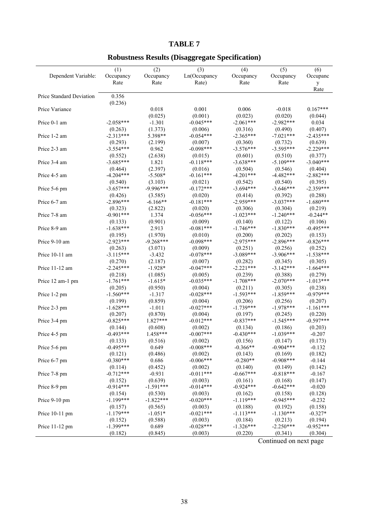### **TABLE 7**

### **Robustness Results (Disaggregate Specification)**

|                          | (1)         | (2)         | (3)          | (4)         | (5)         | (6)         |
|--------------------------|-------------|-------------|--------------|-------------|-------------|-------------|
| Dependent Variable:      | Occupancy   | Occupancy   | Ln(Occupancy | Occupancy   | Occupancy   | Occupanc    |
|                          | Rate        | Rate        | Rate)        | Rate        | Rate        | y           |
|                          |             |             |              |             |             | Rate        |
| Price Standard Deviation | 0.356       |             |              |             |             |             |
|                          | (0.236)     |             |              |             |             |             |
| Price Variance           |             | 0.018       | 0.001        | 0.006       | $-0.018$    | $0.167***$  |
|                          |             |             | (0.001)      | (0.023)     | (0.020)     |             |
|                          |             | (0.025)     |              |             |             | (0.044)     |
| Price 0-1 am             | $-2.058***$ | $-1.301$    | $-0.045***$  | $-2.061***$ | $-2.982***$ | 0.034       |
|                          | (0.263)     | (1.373)     | (0.006)      | (0.316)     | (0.490)     | (0.407)     |
| Price 1-2 am             | $-2.313***$ | 5.398**     | $-0.054***$  | $-2.365***$ | $-7.021***$ | $-2.435***$ |
|                          | (0.293)     | (2.199)     | (0.007)      | (0.360)     | (0.732)     | (0.639)     |
| Price 2-3 am             | $-3.554***$ | 0.962       | $-0.098***$  | $-3.576***$ | $-3.595***$ | $-2.229***$ |
|                          | (0.552)     | (2.638)     | (0.015)      | (0.601)     | (0.510)     | (0.377)     |
| Price 3-4 am             | $-3.685***$ | 1.821       | $-0.118***$  | $-3.638***$ | $-5.109***$ | $-3.040***$ |
|                          | (0.464)     | (2.397)     | (0.016)      | (0.504)     | (0.546)     | (0.404)     |
| Price 4-5 am             | $-4.204***$ | $-5.508*$   | $-0.161***$  | $-4.201***$ | $-4.482***$ | $-2.882***$ |
|                          | (0.540)     | (3.103)     | (0.021)      | (0.542)     | (0.540)     | (0.395)     |
| Price 5-6 pm             | $-3.657***$ | $-9.996***$ | $-0.172***$  | $-3.694***$ | $-3.646***$ | $-2.359***$ |
|                          | (0.426)     | (3.585)     | (0.020)      | (0.414)     | (0.392)     | (0.288)     |
| Price 6-7 am             | $-2.896***$ | $-6.166**$  | $-0.181***$  | $-2.959***$ | $-3.037***$ | $-1.680***$ |
|                          |             |             |              |             |             |             |
|                          | (0.323)     | (2.822)     | (0.020)      | (0.306)     | (0.304)     | (0.219)     |
| Price 7-8 am             | $-0.901***$ | 1.374       | $-0.056***$  | $-1.023***$ | $-1.240***$ | $-0.244**$  |
|                          | (0.133)     | (0.901)     | (0.009)      | (0.140)     | (0.122)     | (0.106)     |
| Price 8-9 am             | $-1.638***$ | 2.913       | $-0.081***$  | $-1.746***$ | $-1.830***$ | $-0.495***$ |
|                          | (0.195)     | (1.970)     | (0.010)      | (0.200)     | (0.202)     | (0.153)     |
| Price 9-10 am            | $-2.923***$ | $-9.268***$ | $-0.098***$  | $-2.975***$ | $-2.896***$ | $-0.826***$ |
|                          | (0.263)     | (3.071)     | (0.009)      | (0.251)     | (0.256)     | (0.252)     |
| Price 10-11 am           | $-3.115***$ | $-3.432$    | $-0.078***$  | $-3.089***$ | $-3.906***$ | $-1.538***$ |
|                          | (0.270)     | (2.187)     | (0.007)      | (0.282)     | (0.345)     | (0.305)     |
| Price 11-12 am           | $-2.245***$ | $-1.928*$   | $-0.047***$  | $-2.221***$ | $-3.142***$ | $-1.664***$ |
|                          | (0.218)     | (1.085)     | (0.005)      | (0.239)     | (0.388)     | (0.279)     |
|                          | $-1.761***$ | $-1.615*$   | $-0.035***$  | $-1.708***$ | $-2.070***$ | $-1.013***$ |
| Price 12 am-1 pm         |             |             |              |             |             |             |
|                          | (0.205)     | (0.950)     | (0.004)      | (0.211)     | (0.305)     | (0.238)     |
| Price 1-2 pm             | $-1.560***$ | $-1.317$    | $-0.028***$  | $-1.593***$ | $-1.859***$ | $-0.979***$ |
|                          | (0.199)     | (0.859)     | (0.004)      | (0.206)     | (0.256)     | (0.207)     |
| Price 2-3 pm             | $-1.628***$ | $-1.011$    | $-0.027***$  | $-1.739***$ | $-1.978***$ | $-1.161***$ |
|                          | (0.207)     | (0.870)     | (0.004)      | (0.197)     | (0.245)     | (0.220)     |
| Price 3-4 pm             | $-0.825***$ | 1.827***    | $-0.012***$  | $-0.837***$ | $-1.545***$ | $-0.597***$ |
|                          | (0.144)     | (0.608)     | (0.002)      | (0.134)     | (0.186)     | (0.203)     |
| Price 4-5 pm             | $-0.493***$ | 1.458***    | $-0.007***$  | $-0.430***$ | $-1.039***$ | $-0.207$    |
|                          | (0.133)     | (0.516)     | (0.002)      | (0.156)     | (0.147)     | (0.173)     |
| Price 5-6 pm             | $-0.495***$ | 0.649       | $-0.008***$  | $-0.366**$  | $-0.904***$ | $-0.132$    |
|                          | (0.121)     | (0.486)     | (0.002)      | (0.143)     | (0.169)     | (0.182)     |
| Price 6-7 pm             | $-0.380***$ | 0.686       | $-0.006***$  | $-0.280**$  | $-0.908***$ | $-0.144$    |
|                          | (0.114)     | (0.452)     | (0.002)      | (0.140)     | (0.149)     | (0.142)     |
| Price 7-8 pm             | $-0.712***$ | $-0.931$    | $-0.011***$  | $-0.667***$ | $-0.818***$ | $-0.167$    |
|                          | (0.152)     | (0.639)     | (0.003)      | (0.161)     | (0.168)     | (0.147)     |
|                          | $-0.914***$ | $-1.591***$ | $-0.014***$  | $-0.924***$ | $-0.642***$ | $-0.020$    |
| Price 8-9 pm             |             |             |              |             |             |             |
|                          | (0.154)     | (0.530)     | (0.003)      | (0.162)     | (0.158)     | (0.128)     |
| Price 9-10 pm            | $-1.199***$ | $-1.822***$ | $-0.020***$  | $-1.119***$ | $-0.945***$ | $-0.232$    |
|                          | (0.157)     | (0.565)     | (0.003)      | (0.188)     | (0.192)     | (0.158)     |
| Price 10-11 pm           | $-1.179***$ | $-1.051*$   | $-0.021***$  | $-1.113***$ | $-1.130***$ | $-0.327*$   |
|                          | (0.152)     | (0.588)     | (0.003)      | (0.184)     | (0.213)     | (0.194)     |
| Price 11-12 pm           | $-1.399***$ | 0.689       | $-0.028***$  | $-1.326***$ | $-2.250***$ | $-0.952***$ |
|                          | (0.182)     | (0.845)     | (0.003)      | (0.220)     | (0.341)     | (0.304)     |

Continued on next page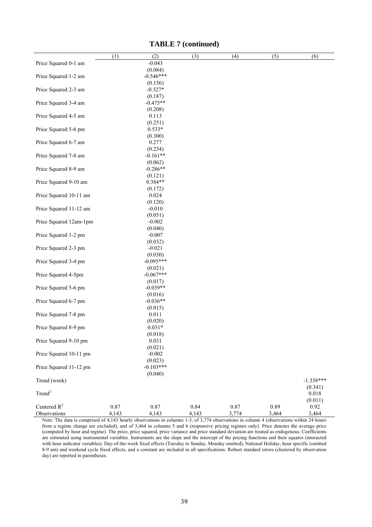|                        | (1)   | (2)                    | (3)   | (4)   | (5)   | (6)         |
|------------------------|-------|------------------------|-------|-------|-------|-------------|
| Price Squared 0-1 am   |       | $-0.043$               |       |       |       |             |
|                        |       | (0.084)                |       |       |       |             |
| Price Squared 1-2 am   |       | $-0.546***$            |       |       |       |             |
|                        |       | (0.156)                |       |       |       |             |
| Price Squared 2-3 am   |       | $-0.327*$              |       |       |       |             |
|                        |       | (0.187)                |       |       |       |             |
| Price Squared 3-4 am   |       | $-0.475**$             |       |       |       |             |
|                        |       | (0.208)                |       |       |       |             |
| Price Squared 4-5 am   |       | 0.113                  |       |       |       |             |
|                        |       | (0.251)                |       |       |       |             |
| Price Squared 5-6 pm   |       | $0.533*$               |       |       |       |             |
|                        |       | (0.300)                |       |       |       |             |
| Price Squared 6-7 am   |       | 0.277                  |       |       |       |             |
|                        |       | (0.234)                |       |       |       |             |
| Price Squared 7-8 am   |       | $-0.161**$             |       |       |       |             |
|                        |       | (0.062)                |       |       |       |             |
| Price Squared 8-9 am   |       | $-0.286**$             |       |       |       |             |
|                        |       | (0.121)                |       |       |       |             |
| Price Squared 9-10 am  |       | $0.384**$              |       |       |       |             |
|                        |       | (0.172)                |       |       |       |             |
| Price Squared 10-11 am |       | 0.024                  |       |       |       |             |
|                        |       | (0.120)                |       |       |       |             |
| Price Squared 11-12 am |       | $-0.010$               |       |       |       |             |
|                        |       | (0.051)                |       |       |       |             |
| Price Squared 12am-1pm |       | $-0.002$               |       |       |       |             |
|                        |       | (0.040)                |       |       |       |             |
| Price Squared 1-2 pm   |       | $-0.007$               |       |       |       |             |
|                        |       | (0.032)                |       |       |       |             |
| Price Squared 2-3 pm   |       | $-0.021$               |       |       |       |             |
|                        |       | (0.030)                |       |       |       |             |
| Price Squared 3-4 pm   |       | $-0.095***$            |       |       |       |             |
|                        |       | (0.021)                |       |       |       |             |
| Price Squared 4-5pm    |       | $-0.067***$            |       |       |       |             |
|                        |       | (0.017)                |       |       |       |             |
| Price Squared 5-6 pm   |       | $-0.039**$             |       |       |       |             |
|                        |       | (0.016)                |       |       |       |             |
| Price Squared 6-7 pm   |       | $-0.036**$             |       |       |       |             |
|                        |       | (0.015)                |       |       |       |             |
| Price Squared 7-8 pm   |       | 0.011                  |       |       |       |             |
|                        |       | (0.020)                |       |       |       |             |
| Price Squared 8-9 pm   |       | $0.031*$               |       |       |       |             |
| Price Squared 9-10 pm  |       | (0.018)<br>0.031       |       |       |       |             |
|                        |       | (0.021)                |       |       |       |             |
| Price Squared 10-11 pm |       |                        |       |       |       |             |
|                        |       | $-0.002$               |       |       |       |             |
| Price Squared 11-12 pm |       | (0.023)<br>$-0.103***$ |       |       |       |             |
|                        |       | (0.040)                |       |       |       |             |
| Trend (week)           |       |                        |       |       |       | $-1.338***$ |
|                        |       |                        |       |       |       | (0.341)     |
| Trend <sup>2</sup>     |       |                        |       |       |       | 0.018       |
|                        |       |                        |       |       |       | (0.011)     |
| Centered $R^2$         | 0.87  | 0.87                   | 0.84  | 0.87  | 0.89  | 0.92        |
| Observations           | 4,143 | 4,143                  | 4,143 | 3,774 | 3,464 | 3,464       |

### **TABLE 7 (continued)**

Note: The data is comprised of 4,143 hourly observations in columns 1-3, of 3,774 observations in column 4 (observations within 24 hours from a regime change are excluded), and of 3,464 in columns 5 and 6 (responsive pricing regimes only). Price denotes the average price (computed by hour and regime). The price, price squared, price variance and price standard deviation are treated as endogenous. Coefficients are estimated using instrumental variables. Instruments are the slope and the intercept of the pricing functions and their squares (interacted with hour indicator variables). Day-of-the-week fixed effects (Tuesday to Sunday, Monday omitted), National Holiday, hour specific (omitted 8-9 am) and weekend cycle fixed effects, and a constant are included in all specifications. Robust standard errors (clustered by observation day) are reported in parentheses.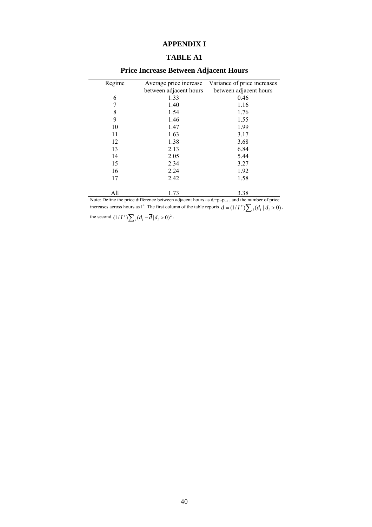### **APPENDIX I**

### **TABLE A1**

| Regime | Average price increase | Variance of price increases |
|--------|------------------------|-----------------------------|
|        | between adjacent hours | between adjacent hours      |
| 6      | 1.33                   | 0.46                        |
| 7      | 1.40                   | 1.16                        |
| 8      | 1.54                   | 1.76                        |
| 9      | 1.46                   | 1.55                        |
| 10     | 1.47                   | 1.99                        |
| 11     | 1.63                   | 3.17                        |
| 12     | 1.38                   | 3.68                        |
| 13     | 2.13                   | 6.84                        |
| 14     | 2.05                   | 5.44                        |
| 15     | 2.34                   | 3.27                        |
| 16     | 2.24                   | 1.92                        |
| 17     | 2.42                   | 1.58                        |
|        |                        |                             |
| All    | 1.73                   | 3.38                        |

# **Price Increase Between Adjacent Hours**

Note: Define the price difference between adjacent hours as  $d_i=p_i-p_{i-1}$ , and the number of price increases across hours as I<sup>+</sup>. The first column of the table reports  $\overline{d} = (1/I^+) \sum_i (d_i | d_i > 0)$ ,

the second  $(1/I^+) \sum_i (d_i - \overline{d}|d_i > 0)^2$ .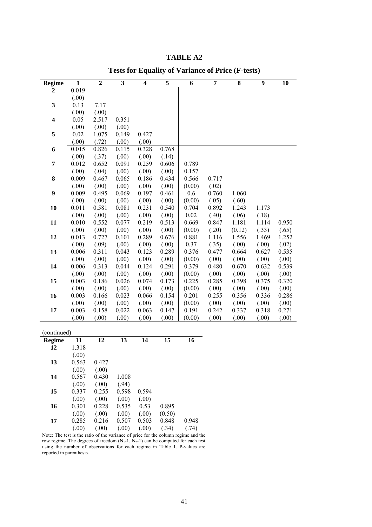### **TABLE A2**

| <b>Regime</b>           | $\mathbf{1}$ | $\overline{2}$ | $\overline{\mathbf{3}}$ | $\overline{\mathbf{4}}$ | 5     | 6        | 7     | 8      | 9     | 10    |
|-------------------------|--------------|----------------|-------------------------|-------------------------|-------|----------|-------|--------|-------|-------|
| $\mathbf{2}$            | 0.019        |                |                         |                         |       |          |       |        |       |       |
|                         | (.00)        |                |                         |                         |       |          |       |        |       |       |
| 3                       | 0.13         | 7.17           |                         |                         |       |          |       |        |       |       |
|                         | (.00)        | (.00)          |                         |                         |       |          |       |        |       |       |
| $\overline{\mathbf{4}}$ | 0.05         | 2.517          | 0.351                   |                         |       |          |       |        |       |       |
|                         | (.00)        | (.00)          | (.00)                   |                         |       |          |       |        |       |       |
| 5                       | 0.02         | 1.075          | 0.149                   | 0.427                   |       |          |       |        |       |       |
|                         | (.00)        | (.72)          | (.00)                   | (.00)                   |       |          |       |        |       |       |
| 6                       | 0.015        | 0.826          | 0.115                   | 0.328                   | 0.768 |          |       |        |       |       |
|                         | (.00)        | (.37)          | (.00)                   | (.00)                   | (.14) |          |       |        |       |       |
| 7                       | 0.012        | 0.652          | 0.091                   | 0.259                   | 0.606 | 0.789    |       |        |       |       |
|                         | (.00)        | (.04)          | (.00)                   | (.00)                   | (.00) | 0.157    |       |        |       |       |
| $\bf 8$                 | 0.009        | 0.467          | 0.065                   | 0.186                   | 0.434 | 0.566    | 0.717 |        |       |       |
|                         | (.00)        | (.00)          | (.00)                   | (.00)                   | (.00) | (0.00)   | (.02) |        |       |       |
| $\boldsymbol{9}$        | 0.009        | 0.495          | 0.069                   | 0.197                   | 0.461 | 0.6      | 0.760 | 1.060  |       |       |
|                         | (.00)        | (.00)          | (.00)                   | (.00)                   | (.00) | (0.00)   | (.05) | (.60)  |       |       |
| 10                      | 0.011        | 0.581          | 0.081                   | 0.231                   | 0.540 | 0.704    | 0.892 | 1.243  | 1.173 |       |
|                         | (.00)        | (.00)          | (.00)                   | (.00)                   | (.00) | $0.02\,$ | (.40) | (.06)  | (.18) |       |
| 11                      | 0.010        | 0.552          | 0.077                   | 0.219                   | 0.513 | 0.669    | 0.847 | 1.181  | 1.114 | 0.950 |
|                         | (.00)        | (.00)          | (.00)                   | (.00)                   | (.00) | (0.00)   | (.20) | (0.12) | (.33) | (.65) |
| 12                      | 0.013        | 0.727          | 0.101                   | 0.289                   | 0.676 | 0.881    | 1.116 | 1.556  | 1.469 | 1.252 |
|                         | (.00)        | (.09)          | (.00)                   | (.00)                   | (.00) | 0.37     | (.35) | (.00)  | (.00) | (.02) |
| 13                      | 0.006        | 0.311          | 0.043                   | 0.123                   | 0.289 | 0.376    | 0.477 | 0.664  | 0.627 | 0.535 |
|                         | (.00)        | (.00)          | (.00)                   | (.00)                   | (.00) | (0.00)   | (.00) | (.00)  | (.00) | (.00) |
| 14                      | 0.006        | 0.313          | 0.044                   | 0.124                   | 0.291 | 0.379    | 0.480 | 0.670  | 0.632 | 0.539 |
|                         | (.00)        | (.00)          | (.00)                   | (.00)                   | (.00) | (0.00)   | (.00) | (.00)  | (.00) | (.00) |
| 15                      | 0.003        | 0.186          | 0.026                   | 0.074                   | 0.173 | 0.225    | 0.285 | 0.398  | 0.375 | 0.320 |
|                         | (.00)        | (.00)          | (.00)                   | (.00)                   | (.00) | (0.00)   | (.00) | (.00)  | (.00) | (.00) |
| 16                      | 0.003        | 0.166          | 0.023                   | 0.066                   | 0.154 | 0.201    | 0.255 | 0.356  | 0.336 | 0.286 |
|                         | (.00)        | (.00)          | (.00)                   | (.00)                   | (.00) | (0.00)   | (.00) | (.00)  | (.00) | (.00) |
| 17                      | 0.003        | 0.158          | 0.022                   | 0.063                   | 0.147 | 0.191    | 0.242 | 0.337  | 0.318 | 0.271 |
|                         | (.00)        | (.00)          | (.00)                   | (.00)                   | (.00) | (0.00)   | (.00) | (.00)  | (.00) | (.00) |
|                         |              |                |                         |                         |       |          |       |        |       |       |
| (continued)             |              |                |                         |                         |       |          |       |        |       |       |
| <b>Regime</b>           | 11           | 12             | 13                      | 14                      | 15    | 16       |       |        |       |       |
| 12                      | 1.318        |                |                         |                         |       |          |       |        |       |       |
|                         | (.00)        |                |                         |                         |       |          |       |        |       |       |
|                         |              |                |                         |                         |       |          |       |        |       |       |

### **Tests for Equality of Variance of Price (F-tests)**

| <b>Regime</b> | 11    | 12    | 13    | 14    | 15     | 16    |
|---------------|-------|-------|-------|-------|--------|-------|
| 12            | 1.318 |       |       |       |        |       |
|               | (.00) |       |       |       |        |       |
| 13            | 0.563 | 0.427 |       |       |        |       |
|               | (.00) | (.00) |       |       |        |       |
| 14            | 0.567 | 0.430 | 1.008 |       |        |       |
|               | (.00) | (.00) | (.94) |       |        |       |
| 15            | 0.337 | 0.255 | 0.598 | 0.594 |        |       |
|               | (.00) | (.00) | (.00) | (.00) |        |       |
| 16            | 0.301 | 0.228 | 0.535 | 0.53  | 0.895  |       |
|               | (.00) | (.00) | (.00) | (.00) | (0.50) |       |
| 17            | 0.285 | 0.216 | 0.507 | 0.503 | 0.848  | 0.948 |
|               | (.00) | (.00) | (.00) | (.00) | (.34)  | (.74) |

Note: The test is the ratio of the variance of price for the column regime and the row regime. The degrees of freedom  $(N_1-1, N_2-1)$  can be computed for each test using the number of observations for each regime in Table 1. P-values are reported in parenthesis.